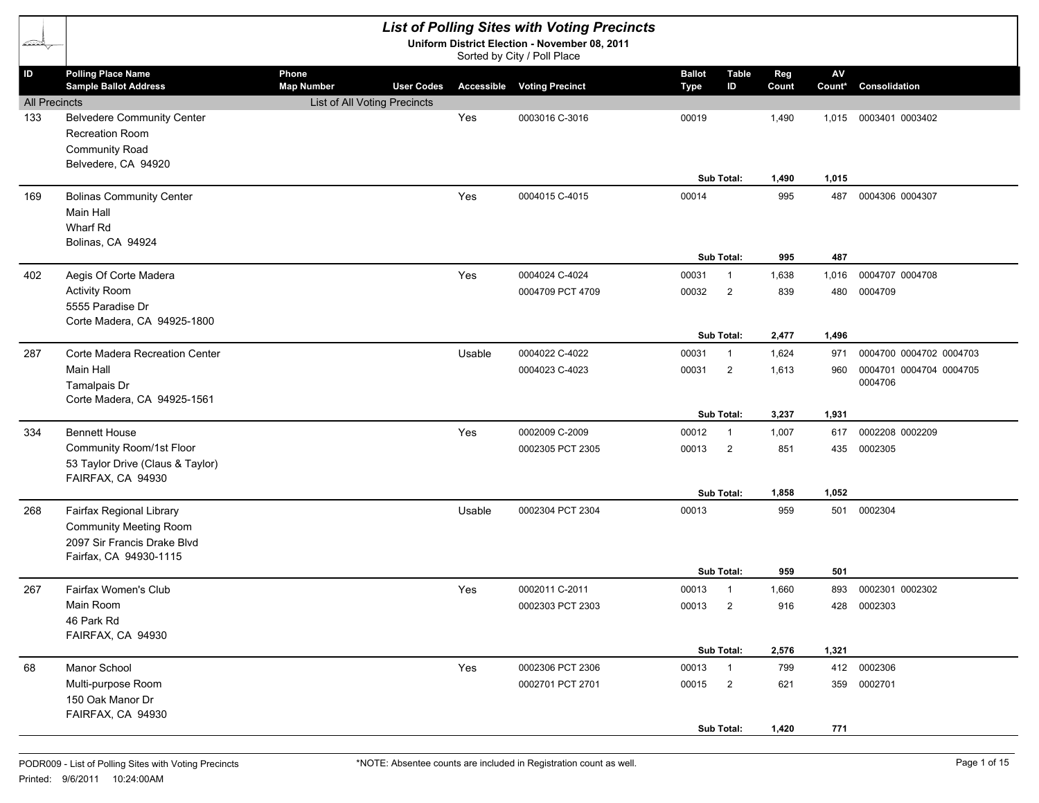|                      | <b>List of Polling Sites with Voting Precincts</b>           |                              |                   |        |                                                                              |                       |                                |              |                      |                            |  |
|----------------------|--------------------------------------------------------------|------------------------------|-------------------|--------|------------------------------------------------------------------------------|-----------------------|--------------------------------|--------------|----------------------|----------------------------|--|
| $\scriptstyle\sim$   |                                                              |                              |                   |        | Uniform District Election - November 08, 2011<br>Sorted by City / Poll Place |                       |                                |              |                      |                            |  |
| ID                   | <b>Polling Place Name</b><br><b>Sample Ballot Address</b>    | Phone<br><b>Map Number</b>   | <b>User Codes</b> |        | <b>Accessible Voting Precinct</b>                                            | <b>Ballot</b><br>Type | Table<br>ID                    | Reg<br>Count | ${\sf AV}$<br>Count* | Consolidation              |  |
| <b>All Precincts</b> |                                                              | List of All Voting Precincts |                   |        |                                                                              |                       |                                |              |                      |                            |  |
| 133                  | <b>Belvedere Community Center</b>                            |                              |                   | Yes    | 0003016 C-3016                                                               | 00019                 |                                | 1,490        | 1,015                | 0003401 0003402            |  |
|                      | Recreation Room                                              |                              |                   |        |                                                                              |                       |                                |              |                      |                            |  |
|                      | <b>Community Road</b>                                        |                              |                   |        |                                                                              |                       |                                |              |                      |                            |  |
|                      | Belvedere, CA 94920                                          |                              |                   |        |                                                                              |                       | Sub Total:                     | 1,490        | 1,015                |                            |  |
| 169                  | <b>Bolinas Community Center</b>                              |                              |                   | Yes    | 0004015 C-4015                                                               | 00014                 |                                | 995          | 487                  | 0004306 0004307            |  |
|                      | Main Hall                                                    |                              |                   |        |                                                                              |                       |                                |              |                      |                            |  |
|                      | Wharf Rd                                                     |                              |                   |        |                                                                              |                       |                                |              |                      |                            |  |
|                      | Bolinas, CA 94924                                            |                              |                   |        |                                                                              |                       | Sub Total:                     | 995          | 487                  |                            |  |
| 402                  | Aegis Of Corte Madera                                        |                              |                   | Yes    | 0004024 C-4024                                                               | 00031                 | $\mathbf{1}$                   | 1,638        | 1,016                | 0004707 0004708            |  |
|                      | <b>Activity Room</b>                                         |                              |                   |        | 0004709 PCT 4709                                                             | 00032                 | $\overline{2}$                 | 839          | 480                  | 0004709                    |  |
|                      | 5555 Paradise Dr                                             |                              |                   |        |                                                                              |                       |                                |              |                      |                            |  |
|                      | Corte Madera, CA 94925-1800                                  |                              |                   |        |                                                                              |                       | <b>Sub Total:</b>              | 2,477        | 1,496                |                            |  |
| 287                  | Corte Madera Recreation Center                               |                              |                   | Usable | 0004022 C-4022                                                               | 00031                 | $\mathbf{1}$                   | 1,624        | 971                  | 0004700 0004702 0004703    |  |
|                      | Main Hall                                                    |                              |                   |        | 0004023 C-4023                                                               | 00031                 | $\overline{2}$                 | 1,613        | 960                  | 0004701 0004704 0004705    |  |
|                      | Tamalpais Dr                                                 |                              |                   |        |                                                                              |                       |                                |              |                      | 0004706                    |  |
|                      | Corte Madera, CA 94925-1561                                  |                              |                   |        |                                                                              |                       |                                |              |                      |                            |  |
|                      |                                                              |                              |                   |        |                                                                              |                       | <b>Sub Total:</b>              | 3,237        | 1,931                |                            |  |
| 334                  | <b>Bennett House</b><br>Community Room/1st Floor             |                              |                   | Yes    | 0002009 C-2009                                                               | 00012                 | $\mathbf{1}$<br>$\overline{2}$ | 1,007<br>851 | 617<br>435           | 0002208 0002209<br>0002305 |  |
|                      | 53 Taylor Drive (Claus & Taylor)                             |                              |                   |        | 0002305 PCT 2305                                                             | 00013                 |                                |              |                      |                            |  |
|                      | FAIRFAX, CA 94930                                            |                              |                   |        |                                                                              |                       |                                |              |                      |                            |  |
|                      |                                                              |                              |                   |        |                                                                              |                       | Sub Total:                     | 1,858        | 1,052                |                            |  |
| 268                  | Fairfax Regional Library                                     |                              |                   | Usable | 0002304 PCT 2304                                                             | 00013                 |                                | 959          | 501                  | 0002304                    |  |
|                      | <b>Community Meeting Room</b><br>2097 Sir Francis Drake Blvd |                              |                   |        |                                                                              |                       |                                |              |                      |                            |  |
|                      | Fairfax, CA 94930-1115                                       |                              |                   |        |                                                                              |                       |                                |              |                      |                            |  |
|                      |                                                              |                              |                   |        |                                                                              |                       | <b>Sub Total:</b>              | 959          | 501                  |                            |  |
| 267                  | Fairfax Women's Club                                         |                              |                   | Yes    | 0002011 C-2011                                                               | 00013                 | $\overline{1}$                 | 1,660        | 893                  | 0002301 0002302            |  |
|                      | Main Room                                                    |                              |                   |        | 0002303 PCT 2303                                                             | 00013                 | $\overline{\phantom{a}}$       | 916          |                      | 428 0002303                |  |
|                      | 46 Park Rd<br>FAIRFAX, CA 94930                              |                              |                   |        |                                                                              |                       |                                |              |                      |                            |  |
|                      |                                                              |                              |                   |        |                                                                              |                       | Sub Total:                     | 2,576        | 1,321                |                            |  |
| 68                   | Manor School                                                 |                              |                   | Yes    | 0002306 PCT 2306                                                             | 00013                 | $\mathbf{1}$                   | 799          |                      | 412 0002306                |  |
|                      | Multi-purpose Room                                           |                              |                   |        | 0002701 PCT 2701                                                             | 00015                 | $\overline{2}$                 | 621          |                      | 359 0002701                |  |
|                      | 150 Oak Manor Dr                                             |                              |                   |        |                                                                              |                       |                                |              |                      |                            |  |
|                      | FAIRFAX, CA 94930                                            |                              |                   |        |                                                                              |                       | Sub Total:                     | 1,420        | 771                  |                            |  |
|                      |                                                              |                              |                   |        |                                                                              |                       |                                |              |                      |                            |  |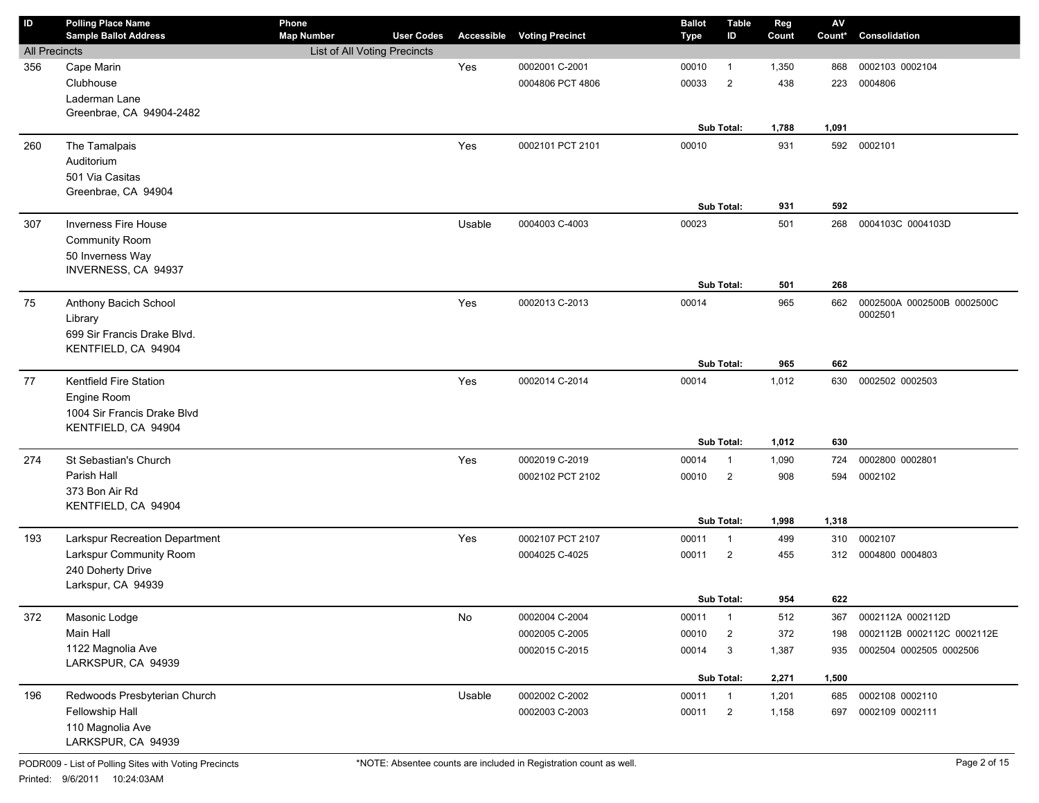| List of All Voting Precincts<br><b>All Precincts</b><br>Yes<br>0002001 C-2001<br>356<br>Cape Marin<br>00010<br>$\mathbf{1}$<br>1,350<br>868<br>0002103 0002104<br>Clubhouse<br>$\overline{2}$<br>0004806 PCT 4806<br>00033<br>438<br>223<br>0004806<br>Laderman Lane<br>Greenbrae, CA 94904-2482<br>Sub Total:<br>1,788<br>1,091<br>Yes<br>0002101 PCT 2101<br>0002101<br>260<br>The Tamalpais<br>931<br>592<br>00010<br>Auditorium<br>501 Via Casitas<br>Greenbrae, CA 94904<br>Sub Total:<br>931<br>592<br>501<br>0004103C 0004103D<br>307<br><b>Inverness Fire House</b><br>Usable<br>0004003 C-4003<br>00023<br>268<br><b>Community Room</b><br>50 Inverness Way<br>INVERNESS, CA 94937<br>501<br>268<br>Sub Total:<br>Yes<br>0002013 C-2013<br>75<br>Anthony Bacich School<br>00014<br>965<br>0002500A 0002500B 0002500C<br>662<br>0002501<br>Library<br>699 Sir Francis Drake Blvd.<br>KENTFIELD, CA 94904<br>Sub Total:<br>965<br>662<br>Yes<br>0002014 C-2014<br>Kentfield Fire Station<br>1,012<br>0002502 0002503<br>00014<br>630<br>Engine Room<br>1004 Sir Francis Drake Blvd<br>KENTFIELD, CA 94904<br>Sub Total:<br>1,012<br>630<br>Yes<br>0002019 C-2019<br>274<br>St Sebastian's Church<br>1,090<br>0002800 0002801<br>00014<br>$\mathbf{1}$<br>724<br>Parish Hall<br>0002102 PCT 2102<br>$\overline{2}$<br>908<br>0002102<br>00010<br>594<br>373 Bon Air Rd<br>KENTFIELD, CA 94904<br>Sub Total:<br>1,998<br>1,318<br>Yes<br>0002107 PCT 2107<br>0002107<br>193<br>Larkspur Recreation Department<br>00011<br>$\mathbf{1}$<br>499<br>310<br>Larkspur Community Room<br>0004025 C-4025<br>$\overline{2}$<br>00011<br>455<br>0004800 0004803<br>312<br>240 Doherty Drive<br>Larkspur, CA 94939<br>Sub Total:<br>954<br>622<br>No<br>372<br>Masonic Lodge<br>0002004 C-2004<br>00011<br>512<br>0002112A 0002112D<br>$\mathbf{1}$<br>367<br>Main Hall<br>0002005 C-2005<br>$\overline{\mathbf{c}}$<br>372<br>0002112B 0002112C 0002112E<br>00010<br>198<br>1122 Magnolia Ave<br>0002015 C-2015<br>00014<br>3<br>1,387<br>0002504 0002505 0002506<br>935<br>LARKSPUR, CA 94939<br>Sub Total:<br>1,500<br>2,271<br>Redwoods Presbyterian Church<br>Usable<br>0002002 C-2002<br>0002108 0002110<br>196<br>00011<br>$\mathbf{1}$<br>1,201<br>685<br>Fellowship Hall<br>0002003 C-2003<br>$\overline{2}$<br>0002109 0002111<br>00011<br>1,158<br>697<br>110 Magnolia Ave | $\sf ID$ | <b>Polling Place Name</b><br><b>Sample Ballot Address</b> | Phone<br><b>Map Number</b> | <b>User Codes</b> | <b>Accessible Voting Precinct</b> | <b>Ballot</b><br><b>Type</b> | <b>Table</b><br>ID | Reg<br>Count | $\mathsf{AV}$<br>Count* | Consolidation |
|----------------------------------------------------------------------------------------------------------------------------------------------------------------------------------------------------------------------------------------------------------------------------------------------------------------------------------------------------------------------------------------------------------------------------------------------------------------------------------------------------------------------------------------------------------------------------------------------------------------------------------------------------------------------------------------------------------------------------------------------------------------------------------------------------------------------------------------------------------------------------------------------------------------------------------------------------------------------------------------------------------------------------------------------------------------------------------------------------------------------------------------------------------------------------------------------------------------------------------------------------------------------------------------------------------------------------------------------------------------------------------------------------------------------------------------------------------------------------------------------------------------------------------------------------------------------------------------------------------------------------------------------------------------------------------------------------------------------------------------------------------------------------------------------------------------------------------------------------------------------------------------------------------------------------------------------------------------------------------------------------------------------------------------------------------------------------------------------------------------------------------------------------------------------------------------------------------------------------------------------------------------------------------------------------------------------------------------------------------------------------------|----------|-----------------------------------------------------------|----------------------------|-------------------|-----------------------------------|------------------------------|--------------------|--------------|-------------------------|---------------|
|                                                                                                                                                                                                                                                                                                                                                                                                                                                                                                                                                                                                                                                                                                                                                                                                                                                                                                                                                                                                                                                                                                                                                                                                                                                                                                                                                                                                                                                                                                                                                                                                                                                                                                                                                                                                                                                                                                                                                                                                                                                                                                                                                                                                                                                                                                                                                                                  |          |                                                           |                            |                   |                                   |                              |                    |              |                         |               |
|                                                                                                                                                                                                                                                                                                                                                                                                                                                                                                                                                                                                                                                                                                                                                                                                                                                                                                                                                                                                                                                                                                                                                                                                                                                                                                                                                                                                                                                                                                                                                                                                                                                                                                                                                                                                                                                                                                                                                                                                                                                                                                                                                                                                                                                                                                                                                                                  |          |                                                           |                            |                   |                                   |                              |                    |              |                         |               |
|                                                                                                                                                                                                                                                                                                                                                                                                                                                                                                                                                                                                                                                                                                                                                                                                                                                                                                                                                                                                                                                                                                                                                                                                                                                                                                                                                                                                                                                                                                                                                                                                                                                                                                                                                                                                                                                                                                                                                                                                                                                                                                                                                                                                                                                                                                                                                                                  |          |                                                           |                            |                   |                                   |                              |                    |              |                         |               |
|                                                                                                                                                                                                                                                                                                                                                                                                                                                                                                                                                                                                                                                                                                                                                                                                                                                                                                                                                                                                                                                                                                                                                                                                                                                                                                                                                                                                                                                                                                                                                                                                                                                                                                                                                                                                                                                                                                                                                                                                                                                                                                                                                                                                                                                                                                                                                                                  |          |                                                           |                            |                   |                                   |                              |                    |              |                         |               |
|                                                                                                                                                                                                                                                                                                                                                                                                                                                                                                                                                                                                                                                                                                                                                                                                                                                                                                                                                                                                                                                                                                                                                                                                                                                                                                                                                                                                                                                                                                                                                                                                                                                                                                                                                                                                                                                                                                                                                                                                                                                                                                                                                                                                                                                                                                                                                                                  |          |                                                           |                            |                   |                                   |                              |                    |              |                         |               |
|                                                                                                                                                                                                                                                                                                                                                                                                                                                                                                                                                                                                                                                                                                                                                                                                                                                                                                                                                                                                                                                                                                                                                                                                                                                                                                                                                                                                                                                                                                                                                                                                                                                                                                                                                                                                                                                                                                                                                                                                                                                                                                                                                                                                                                                                                                                                                                                  |          |                                                           |                            |                   |                                   |                              |                    |              |                         |               |
|                                                                                                                                                                                                                                                                                                                                                                                                                                                                                                                                                                                                                                                                                                                                                                                                                                                                                                                                                                                                                                                                                                                                                                                                                                                                                                                                                                                                                                                                                                                                                                                                                                                                                                                                                                                                                                                                                                                                                                                                                                                                                                                                                                                                                                                                                                                                                                                  |          |                                                           |                            |                   |                                   |                              |                    |              |                         |               |
|                                                                                                                                                                                                                                                                                                                                                                                                                                                                                                                                                                                                                                                                                                                                                                                                                                                                                                                                                                                                                                                                                                                                                                                                                                                                                                                                                                                                                                                                                                                                                                                                                                                                                                                                                                                                                                                                                                                                                                                                                                                                                                                                                                                                                                                                                                                                                                                  |          |                                                           |                            |                   |                                   |                              |                    |              |                         |               |
|                                                                                                                                                                                                                                                                                                                                                                                                                                                                                                                                                                                                                                                                                                                                                                                                                                                                                                                                                                                                                                                                                                                                                                                                                                                                                                                                                                                                                                                                                                                                                                                                                                                                                                                                                                                                                                                                                                                                                                                                                                                                                                                                                                                                                                                                                                                                                                                  |          |                                                           |                            |                   |                                   |                              |                    |              |                         |               |
|                                                                                                                                                                                                                                                                                                                                                                                                                                                                                                                                                                                                                                                                                                                                                                                                                                                                                                                                                                                                                                                                                                                                                                                                                                                                                                                                                                                                                                                                                                                                                                                                                                                                                                                                                                                                                                                                                                                                                                                                                                                                                                                                                                                                                                                                                                                                                                                  |          |                                                           |                            |                   |                                   |                              |                    |              |                         |               |
|                                                                                                                                                                                                                                                                                                                                                                                                                                                                                                                                                                                                                                                                                                                                                                                                                                                                                                                                                                                                                                                                                                                                                                                                                                                                                                                                                                                                                                                                                                                                                                                                                                                                                                                                                                                                                                                                                                                                                                                                                                                                                                                                                                                                                                                                                                                                                                                  |          |                                                           |                            |                   |                                   |                              |                    |              |                         |               |
|                                                                                                                                                                                                                                                                                                                                                                                                                                                                                                                                                                                                                                                                                                                                                                                                                                                                                                                                                                                                                                                                                                                                                                                                                                                                                                                                                                                                                                                                                                                                                                                                                                                                                                                                                                                                                                                                                                                                                                                                                                                                                                                                                                                                                                                                                                                                                                                  |          |                                                           |                            |                   |                                   |                              |                    |              |                         |               |
|                                                                                                                                                                                                                                                                                                                                                                                                                                                                                                                                                                                                                                                                                                                                                                                                                                                                                                                                                                                                                                                                                                                                                                                                                                                                                                                                                                                                                                                                                                                                                                                                                                                                                                                                                                                                                                                                                                                                                                                                                                                                                                                                                                                                                                                                                                                                                                                  |          |                                                           |                            |                   |                                   |                              |                    |              |                         |               |
|                                                                                                                                                                                                                                                                                                                                                                                                                                                                                                                                                                                                                                                                                                                                                                                                                                                                                                                                                                                                                                                                                                                                                                                                                                                                                                                                                                                                                                                                                                                                                                                                                                                                                                                                                                                                                                                                                                                                                                                                                                                                                                                                                                                                                                                                                                                                                                                  |          |                                                           |                            |                   |                                   |                              |                    |              |                         |               |
|                                                                                                                                                                                                                                                                                                                                                                                                                                                                                                                                                                                                                                                                                                                                                                                                                                                                                                                                                                                                                                                                                                                                                                                                                                                                                                                                                                                                                                                                                                                                                                                                                                                                                                                                                                                                                                                                                                                                                                                                                                                                                                                                                                                                                                                                                                                                                                                  |          |                                                           |                            |                   |                                   |                              |                    |              |                         |               |
|                                                                                                                                                                                                                                                                                                                                                                                                                                                                                                                                                                                                                                                                                                                                                                                                                                                                                                                                                                                                                                                                                                                                                                                                                                                                                                                                                                                                                                                                                                                                                                                                                                                                                                                                                                                                                                                                                                                                                                                                                                                                                                                                                                                                                                                                                                                                                                                  |          |                                                           |                            |                   |                                   |                              |                    |              |                         |               |
|                                                                                                                                                                                                                                                                                                                                                                                                                                                                                                                                                                                                                                                                                                                                                                                                                                                                                                                                                                                                                                                                                                                                                                                                                                                                                                                                                                                                                                                                                                                                                                                                                                                                                                                                                                                                                                                                                                                                                                                                                                                                                                                                                                                                                                                                                                                                                                                  |          |                                                           |                            |                   |                                   |                              |                    |              |                         |               |
|                                                                                                                                                                                                                                                                                                                                                                                                                                                                                                                                                                                                                                                                                                                                                                                                                                                                                                                                                                                                                                                                                                                                                                                                                                                                                                                                                                                                                                                                                                                                                                                                                                                                                                                                                                                                                                                                                                                                                                                                                                                                                                                                                                                                                                                                                                                                                                                  |          |                                                           |                            |                   |                                   |                              |                    |              |                         |               |
|                                                                                                                                                                                                                                                                                                                                                                                                                                                                                                                                                                                                                                                                                                                                                                                                                                                                                                                                                                                                                                                                                                                                                                                                                                                                                                                                                                                                                                                                                                                                                                                                                                                                                                                                                                                                                                                                                                                                                                                                                                                                                                                                                                                                                                                                                                                                                                                  |          |                                                           |                            |                   |                                   |                              |                    |              |                         |               |
|                                                                                                                                                                                                                                                                                                                                                                                                                                                                                                                                                                                                                                                                                                                                                                                                                                                                                                                                                                                                                                                                                                                                                                                                                                                                                                                                                                                                                                                                                                                                                                                                                                                                                                                                                                                                                                                                                                                                                                                                                                                                                                                                                                                                                                                                                                                                                                                  |          |                                                           |                            |                   |                                   |                              |                    |              |                         |               |
|                                                                                                                                                                                                                                                                                                                                                                                                                                                                                                                                                                                                                                                                                                                                                                                                                                                                                                                                                                                                                                                                                                                                                                                                                                                                                                                                                                                                                                                                                                                                                                                                                                                                                                                                                                                                                                                                                                                                                                                                                                                                                                                                                                                                                                                                                                                                                                                  |          |                                                           |                            |                   |                                   |                              |                    |              |                         |               |
|                                                                                                                                                                                                                                                                                                                                                                                                                                                                                                                                                                                                                                                                                                                                                                                                                                                                                                                                                                                                                                                                                                                                                                                                                                                                                                                                                                                                                                                                                                                                                                                                                                                                                                                                                                                                                                                                                                                                                                                                                                                                                                                                                                                                                                                                                                                                                                                  | 77       |                                                           |                            |                   |                                   |                              |                    |              |                         |               |
|                                                                                                                                                                                                                                                                                                                                                                                                                                                                                                                                                                                                                                                                                                                                                                                                                                                                                                                                                                                                                                                                                                                                                                                                                                                                                                                                                                                                                                                                                                                                                                                                                                                                                                                                                                                                                                                                                                                                                                                                                                                                                                                                                                                                                                                                                                                                                                                  |          |                                                           |                            |                   |                                   |                              |                    |              |                         |               |
|                                                                                                                                                                                                                                                                                                                                                                                                                                                                                                                                                                                                                                                                                                                                                                                                                                                                                                                                                                                                                                                                                                                                                                                                                                                                                                                                                                                                                                                                                                                                                                                                                                                                                                                                                                                                                                                                                                                                                                                                                                                                                                                                                                                                                                                                                                                                                                                  |          |                                                           |                            |                   |                                   |                              |                    |              |                         |               |
|                                                                                                                                                                                                                                                                                                                                                                                                                                                                                                                                                                                                                                                                                                                                                                                                                                                                                                                                                                                                                                                                                                                                                                                                                                                                                                                                                                                                                                                                                                                                                                                                                                                                                                                                                                                                                                                                                                                                                                                                                                                                                                                                                                                                                                                                                                                                                                                  |          |                                                           |                            |                   |                                   |                              |                    |              |                         |               |
|                                                                                                                                                                                                                                                                                                                                                                                                                                                                                                                                                                                                                                                                                                                                                                                                                                                                                                                                                                                                                                                                                                                                                                                                                                                                                                                                                                                                                                                                                                                                                                                                                                                                                                                                                                                                                                                                                                                                                                                                                                                                                                                                                                                                                                                                                                                                                                                  |          |                                                           |                            |                   |                                   |                              |                    |              |                         |               |
|                                                                                                                                                                                                                                                                                                                                                                                                                                                                                                                                                                                                                                                                                                                                                                                                                                                                                                                                                                                                                                                                                                                                                                                                                                                                                                                                                                                                                                                                                                                                                                                                                                                                                                                                                                                                                                                                                                                                                                                                                                                                                                                                                                                                                                                                                                                                                                                  |          |                                                           |                            |                   |                                   |                              |                    |              |                         |               |
|                                                                                                                                                                                                                                                                                                                                                                                                                                                                                                                                                                                                                                                                                                                                                                                                                                                                                                                                                                                                                                                                                                                                                                                                                                                                                                                                                                                                                                                                                                                                                                                                                                                                                                                                                                                                                                                                                                                                                                                                                                                                                                                                                                                                                                                                                                                                                                                  |          |                                                           |                            |                   |                                   |                              |                    |              |                         |               |
|                                                                                                                                                                                                                                                                                                                                                                                                                                                                                                                                                                                                                                                                                                                                                                                                                                                                                                                                                                                                                                                                                                                                                                                                                                                                                                                                                                                                                                                                                                                                                                                                                                                                                                                                                                                                                                                                                                                                                                                                                                                                                                                                                                                                                                                                                                                                                                                  |          |                                                           |                            |                   |                                   |                              |                    |              |                         |               |
|                                                                                                                                                                                                                                                                                                                                                                                                                                                                                                                                                                                                                                                                                                                                                                                                                                                                                                                                                                                                                                                                                                                                                                                                                                                                                                                                                                                                                                                                                                                                                                                                                                                                                                                                                                                                                                                                                                                                                                                                                                                                                                                                                                                                                                                                                                                                                                                  |          |                                                           |                            |                   |                                   |                              |                    |              |                         |               |
|                                                                                                                                                                                                                                                                                                                                                                                                                                                                                                                                                                                                                                                                                                                                                                                                                                                                                                                                                                                                                                                                                                                                                                                                                                                                                                                                                                                                                                                                                                                                                                                                                                                                                                                                                                                                                                                                                                                                                                                                                                                                                                                                                                                                                                                                                                                                                                                  |          |                                                           |                            |                   |                                   |                              |                    |              |                         |               |
|                                                                                                                                                                                                                                                                                                                                                                                                                                                                                                                                                                                                                                                                                                                                                                                                                                                                                                                                                                                                                                                                                                                                                                                                                                                                                                                                                                                                                                                                                                                                                                                                                                                                                                                                                                                                                                                                                                                                                                                                                                                                                                                                                                                                                                                                                                                                                                                  |          |                                                           |                            |                   |                                   |                              |                    |              |                         |               |
|                                                                                                                                                                                                                                                                                                                                                                                                                                                                                                                                                                                                                                                                                                                                                                                                                                                                                                                                                                                                                                                                                                                                                                                                                                                                                                                                                                                                                                                                                                                                                                                                                                                                                                                                                                                                                                                                                                                                                                                                                                                                                                                                                                                                                                                                                                                                                                                  |          |                                                           |                            |                   |                                   |                              |                    |              |                         |               |
|                                                                                                                                                                                                                                                                                                                                                                                                                                                                                                                                                                                                                                                                                                                                                                                                                                                                                                                                                                                                                                                                                                                                                                                                                                                                                                                                                                                                                                                                                                                                                                                                                                                                                                                                                                                                                                                                                                                                                                                                                                                                                                                                                                                                                                                                                                                                                                                  |          |                                                           |                            |                   |                                   |                              |                    |              |                         |               |
|                                                                                                                                                                                                                                                                                                                                                                                                                                                                                                                                                                                                                                                                                                                                                                                                                                                                                                                                                                                                                                                                                                                                                                                                                                                                                                                                                                                                                                                                                                                                                                                                                                                                                                                                                                                                                                                                                                                                                                                                                                                                                                                                                                                                                                                                                                                                                                                  |          |                                                           |                            |                   |                                   |                              |                    |              |                         |               |
|                                                                                                                                                                                                                                                                                                                                                                                                                                                                                                                                                                                                                                                                                                                                                                                                                                                                                                                                                                                                                                                                                                                                                                                                                                                                                                                                                                                                                                                                                                                                                                                                                                                                                                                                                                                                                                                                                                                                                                                                                                                                                                                                                                                                                                                                                                                                                                                  |          |                                                           |                            |                   |                                   |                              |                    |              |                         |               |
|                                                                                                                                                                                                                                                                                                                                                                                                                                                                                                                                                                                                                                                                                                                                                                                                                                                                                                                                                                                                                                                                                                                                                                                                                                                                                                                                                                                                                                                                                                                                                                                                                                                                                                                                                                                                                                                                                                                                                                                                                                                                                                                                                                                                                                                                                                                                                                                  |          |                                                           |                            |                   |                                   |                              |                    |              |                         |               |
|                                                                                                                                                                                                                                                                                                                                                                                                                                                                                                                                                                                                                                                                                                                                                                                                                                                                                                                                                                                                                                                                                                                                                                                                                                                                                                                                                                                                                                                                                                                                                                                                                                                                                                                                                                                                                                                                                                                                                                                                                                                                                                                                                                                                                                                                                                                                                                                  |          |                                                           |                            |                   |                                   |                              |                    |              |                         |               |
|                                                                                                                                                                                                                                                                                                                                                                                                                                                                                                                                                                                                                                                                                                                                                                                                                                                                                                                                                                                                                                                                                                                                                                                                                                                                                                                                                                                                                                                                                                                                                                                                                                                                                                                                                                                                                                                                                                                                                                                                                                                                                                                                                                                                                                                                                                                                                                                  |          |                                                           |                            |                   |                                   |                              |                    |              |                         |               |
|                                                                                                                                                                                                                                                                                                                                                                                                                                                                                                                                                                                                                                                                                                                                                                                                                                                                                                                                                                                                                                                                                                                                                                                                                                                                                                                                                                                                                                                                                                                                                                                                                                                                                                                                                                                                                                                                                                                                                                                                                                                                                                                                                                                                                                                                                                                                                                                  |          |                                                           |                            |                   |                                   |                              |                    |              |                         |               |
|                                                                                                                                                                                                                                                                                                                                                                                                                                                                                                                                                                                                                                                                                                                                                                                                                                                                                                                                                                                                                                                                                                                                                                                                                                                                                                                                                                                                                                                                                                                                                                                                                                                                                                                                                                                                                                                                                                                                                                                                                                                                                                                                                                                                                                                                                                                                                                                  |          |                                                           |                            |                   |                                   |                              |                    |              |                         |               |
|                                                                                                                                                                                                                                                                                                                                                                                                                                                                                                                                                                                                                                                                                                                                                                                                                                                                                                                                                                                                                                                                                                                                                                                                                                                                                                                                                                                                                                                                                                                                                                                                                                                                                                                                                                                                                                                                                                                                                                                                                                                                                                                                                                                                                                                                                                                                                                                  |          |                                                           |                            |                   |                                   |                              |                    |              |                         |               |
|                                                                                                                                                                                                                                                                                                                                                                                                                                                                                                                                                                                                                                                                                                                                                                                                                                                                                                                                                                                                                                                                                                                                                                                                                                                                                                                                                                                                                                                                                                                                                                                                                                                                                                                                                                                                                                                                                                                                                                                                                                                                                                                                                                                                                                                                                                                                                                                  |          |                                                           |                            |                   |                                   |                              |                    |              |                         |               |
|                                                                                                                                                                                                                                                                                                                                                                                                                                                                                                                                                                                                                                                                                                                                                                                                                                                                                                                                                                                                                                                                                                                                                                                                                                                                                                                                                                                                                                                                                                                                                                                                                                                                                                                                                                                                                                                                                                                                                                                                                                                                                                                                                                                                                                                                                                                                                                                  |          | LARKSPUR, CA 94939                                        |                            |                   |                                   |                              |                    |              |                         |               |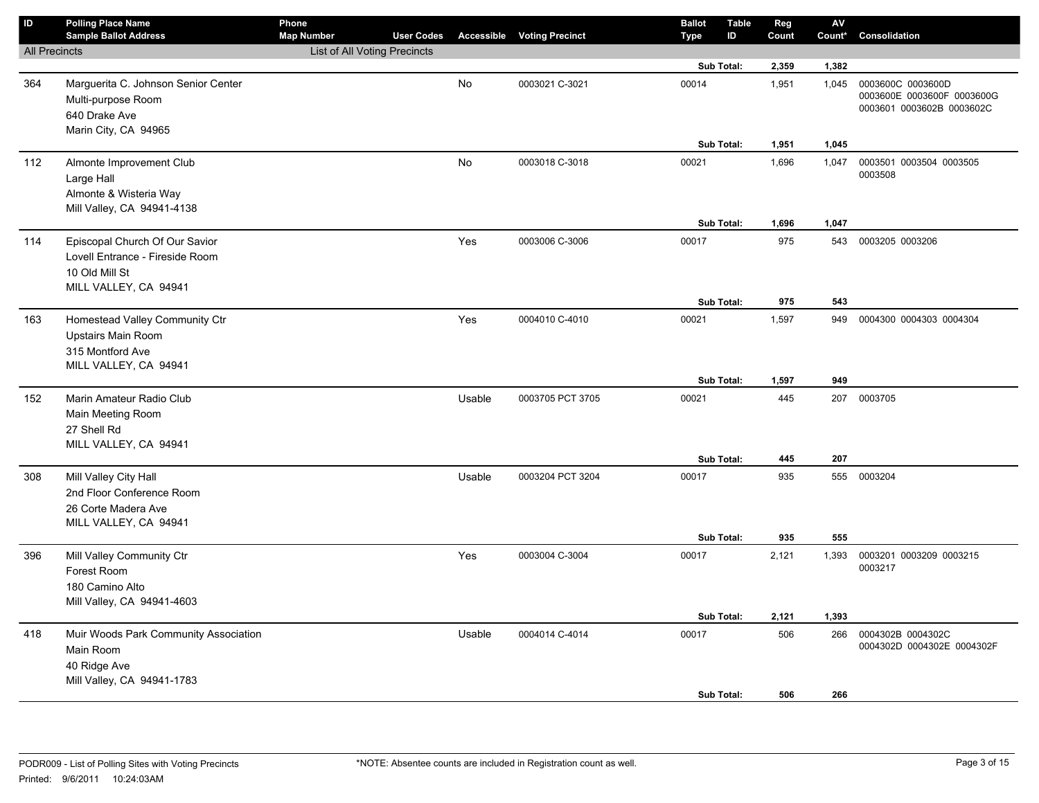| $\overline{D}$       | <b>Polling Place Name</b><br><b>Sample Ballot Address</b>                                                    | Phone<br><b>Map Number</b>   | <b>User Codes</b> |           | <b>Accessible Voting Precinct</b> | <b>Ballot</b><br><b>Type</b> | <b>Table</b><br>ID | Reg<br>Count | ${\sf AV}$<br>Count* | Consolidation                                                                |
|----------------------|--------------------------------------------------------------------------------------------------------------|------------------------------|-------------------|-----------|-----------------------------------|------------------------------|--------------------|--------------|----------------------|------------------------------------------------------------------------------|
| <b>All Precincts</b> |                                                                                                              | List of All Voting Precincts |                   |           |                                   |                              |                    |              |                      |                                                                              |
|                      |                                                                                                              |                              |                   |           |                                   |                              | Sub Total:         | 2,359        | 1,382                |                                                                              |
| 364                  | Marguerita C. Johnson Senior Center<br>Multi-purpose Room<br>640 Drake Ave<br>Marin City, CA 94965           |                              |                   | <b>No</b> | 0003021 C-3021                    | 00014                        |                    | 1,951        | 1,045                | 0003600C 0003600D<br>0003600E 0003600F 0003600G<br>0003601 0003602B 0003602C |
|                      |                                                                                                              |                              |                   |           |                                   |                              | Sub Total:         | 1,951        | 1,045                |                                                                              |
| 112                  | Almonte Improvement Club<br>Large Hall<br>Almonte & Wisteria Way<br>Mill Valley, CA 94941-4138               |                              |                   | No        | 0003018 C-3018                    | 00021                        |                    | 1,696        | 1,047                | 0003501 0003504 0003505<br>0003508                                           |
|                      |                                                                                                              |                              |                   |           |                                   |                              | Sub Total:         | 1,696        | 1,047                |                                                                              |
| 114                  | Episcopal Church Of Our Savior<br>Lovell Entrance - Fireside Room<br>10 Old Mill St<br>MILL VALLEY, CA 94941 |                              |                   | Yes       | 0003006 C-3006                    | 00017                        | Sub Total:         | 975<br>975   | 543<br>543           | 0003205 0003206                                                              |
| 163                  | Homestead Valley Community Ctr                                                                               |                              |                   | Yes       | 0004010 C-4010                    | 00021                        |                    | 1,597        | 949                  | 0004300 0004303 0004304                                                      |
|                      | Upstairs Main Room<br>315 Montford Ave<br>MILL VALLEY, CA 94941                                              |                              |                   |           |                                   |                              | Sub Total:         | 1,597        | 949                  |                                                                              |
| 152                  | Marin Amateur Radio Club                                                                                     |                              |                   | Usable    | 0003705 PCT 3705                  | 00021                        |                    | 445          |                      | 207 0003705                                                                  |
|                      | Main Meeting Room<br>27 Shell Rd<br>MILL VALLEY, CA 94941                                                    |                              |                   |           |                                   |                              | Sub Total:         | 445          | 207                  |                                                                              |
| 308                  | Mill Valley City Hall                                                                                        |                              |                   | Usable    | 0003204 PCT 3204                  | 00017                        |                    | 935          |                      | 555 0003204                                                                  |
|                      | 2nd Floor Conference Room<br>26 Corte Madera Ave<br>MILL VALLEY, CA 94941                                    |                              |                   |           |                                   |                              | Sub Total:         | 935          | 555                  |                                                                              |
| 396                  | Mill Valley Community Ctr<br>Forest Room<br>180 Camino Alto<br>Mill Valley, CA 94941-4603                    |                              |                   | Yes       | 0003004 C-3004                    | 00017                        |                    | 2,121        | 1,393                | 0003201 0003209 0003215<br>0003217                                           |
|                      |                                                                                                              |                              |                   |           |                                   |                              | Sub Total:         | 2,121        | 1,393                |                                                                              |
| 418                  | Muir Woods Park Community Association<br>Main Room<br>40 Ridge Ave<br>Mill Valley, CA 94941-1783             |                              |                   | Usable    | 0004014 C-4014                    | 00017                        | Sub Total:         | 506<br>506   | 266<br>266           | 0004302B 0004302C<br>0004302D 0004302E 0004302F                              |
|                      |                                                                                                              |                              |                   |           |                                   |                              |                    |              |                      |                                                                              |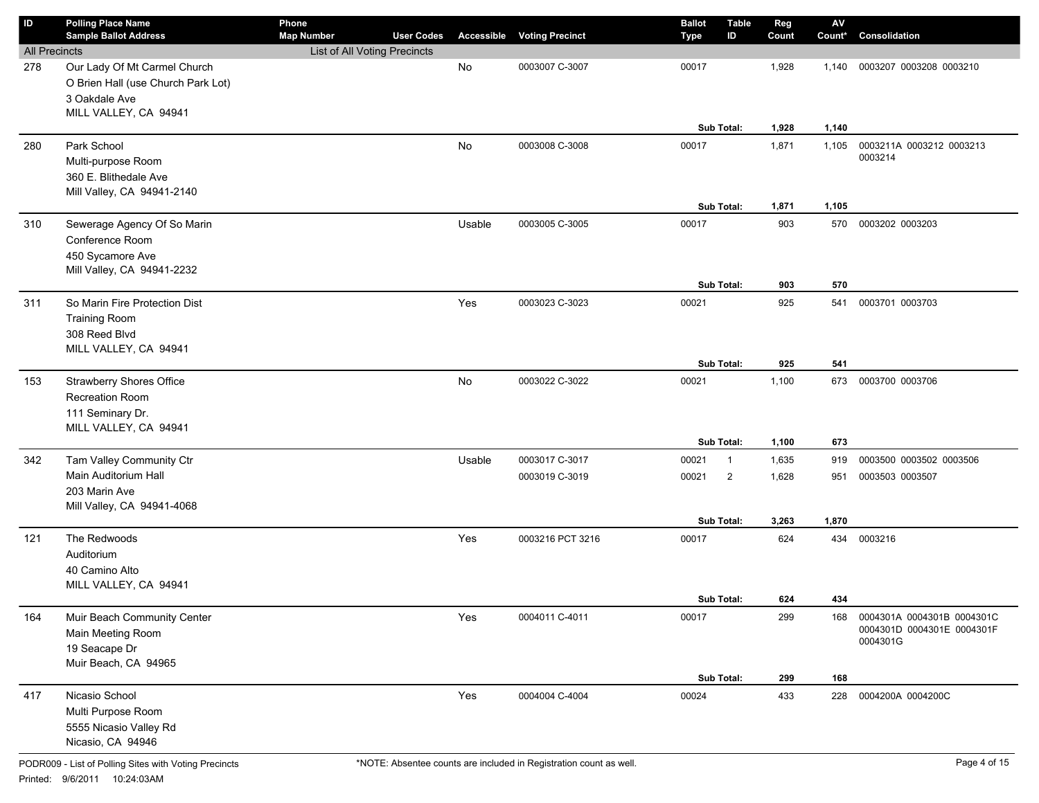| $\mathsf{ID}$        | <b>Polling Place Name</b><br><b>Sample Ballot Address</b>                                                    | Phone<br><b>Map Number</b>   | <b>User Codes</b> | Accessible | <b>Voting Precinct</b> | <b>Ballot</b><br><b>Type</b> | <b>Table</b><br>ID | Reg<br>Count   | $\mathsf{A}\mathsf{V}$<br>Count* | Consolidation                                                        |
|----------------------|--------------------------------------------------------------------------------------------------------------|------------------------------|-------------------|------------|------------------------|------------------------------|--------------------|----------------|----------------------------------|----------------------------------------------------------------------|
| <b>All Precincts</b> |                                                                                                              | List of All Voting Precincts |                   |            |                        |                              |                    |                |                                  |                                                                      |
| 278                  | Our Lady Of Mt Carmel Church<br>O Brien Hall (use Church Park Lot)<br>3 Oakdale Ave<br>MILL VALLEY, CA 94941 |                              |                   | No         | 0003007 C-3007         | 00017                        |                    | 1,928          | 1,140                            | 0003207 0003208 0003210                                              |
|                      |                                                                                                              |                              |                   |            |                        |                              | Sub Total:         | 1,928          | 1,140                            |                                                                      |
| 280                  | Park School<br>Multi-purpose Room<br>360 E. Blithedale Ave<br>Mill Valley, CA 94941-2140                     |                              |                   | No         | 0003008 C-3008         | 00017                        | Sub Total:         | 1,871<br>1,871 | 1,105<br>1,105                   | 0003211A 0003212 0003213<br>0003214                                  |
| 310                  | Sewerage Agency Of So Marin<br>Conference Room<br>450 Sycamore Ave<br>Mill Valley, CA 94941-2232             |                              |                   | Usable     | 0003005 C-3005         | 00017                        | Sub Total:         | 903<br>903     | 570<br>570                       | 0003202 0003203                                                      |
| 311                  | So Marin Fire Protection Dist                                                                                |                              |                   | Yes        | 0003023 C-3023         | 00021                        |                    | 925            |                                  | 0003701 0003703                                                      |
|                      | <b>Training Room</b><br>308 Reed Blvd<br>MILL VALLEY, CA 94941                                               |                              |                   |            |                        |                              | Sub Total:         | 925            | 541<br>541                       |                                                                      |
| 153                  | <b>Strawberry Shores Office</b>                                                                              |                              |                   | No         | 0003022 C-3022         | 00021                        |                    | 1,100          | 673                              | 0003700 0003706                                                      |
|                      | Recreation Room<br>111 Seminary Dr.<br>MILL VALLEY, CA 94941                                                 |                              |                   |            |                        |                              |                    |                |                                  |                                                                      |
|                      |                                                                                                              |                              |                   |            |                        |                              | Sub Total:         | 1,100          | 673                              |                                                                      |
| 342                  | Tam Valley Community Ctr                                                                                     |                              |                   | Usable     | 0003017 C-3017         | 00021                        | $\mathbf{1}$       | 1,635          | 919                              | 0003500 0003502 0003506                                              |
|                      | Main Auditorium Hall<br>203 Marin Ave<br>Mill Valley, CA 94941-4068                                          |                              |                   |            | 0003019 C-3019         | 00021                        | $\overline{2}$     | 1,628          | 951                              | 0003503 0003507                                                      |
|                      |                                                                                                              |                              |                   |            |                        |                              | Sub Total:         | 3,263          | 1,870                            |                                                                      |
| 121                  | The Redwoods<br>Auditorium<br>40 Camino Alto<br>MILL VALLEY, CA 94941                                        |                              |                   | Yes        | 0003216 PCT 3216       | 00017                        |                    | 624            |                                  | 434 0003216                                                          |
|                      |                                                                                                              |                              |                   |            |                        |                              | Sub Total:         | 624            | 434                              |                                                                      |
| 164                  | Muir Beach Community Center<br>Main Meeting Room<br>19 Seacape Dr<br>Muir Beach, CA 94965                    |                              |                   | Yes        | 0004011 C-4011         | 00017                        |                    | 299            | 168                              | 0004301A 0004301B 0004301C<br>0004301D 0004301E 0004301F<br>0004301G |
|                      |                                                                                                              |                              |                   |            |                        |                              | Sub Total:         | 299            | 168                              |                                                                      |
| 417                  | Nicasio School<br>Multi Purpose Room<br>5555 Nicasio Valley Rd<br>Nicasio, CA 94946                          |                              |                   | Yes        | 0004004 C-4004         | 00024                        |                    | 433            | 228                              | 0004200A 0004200C                                                    |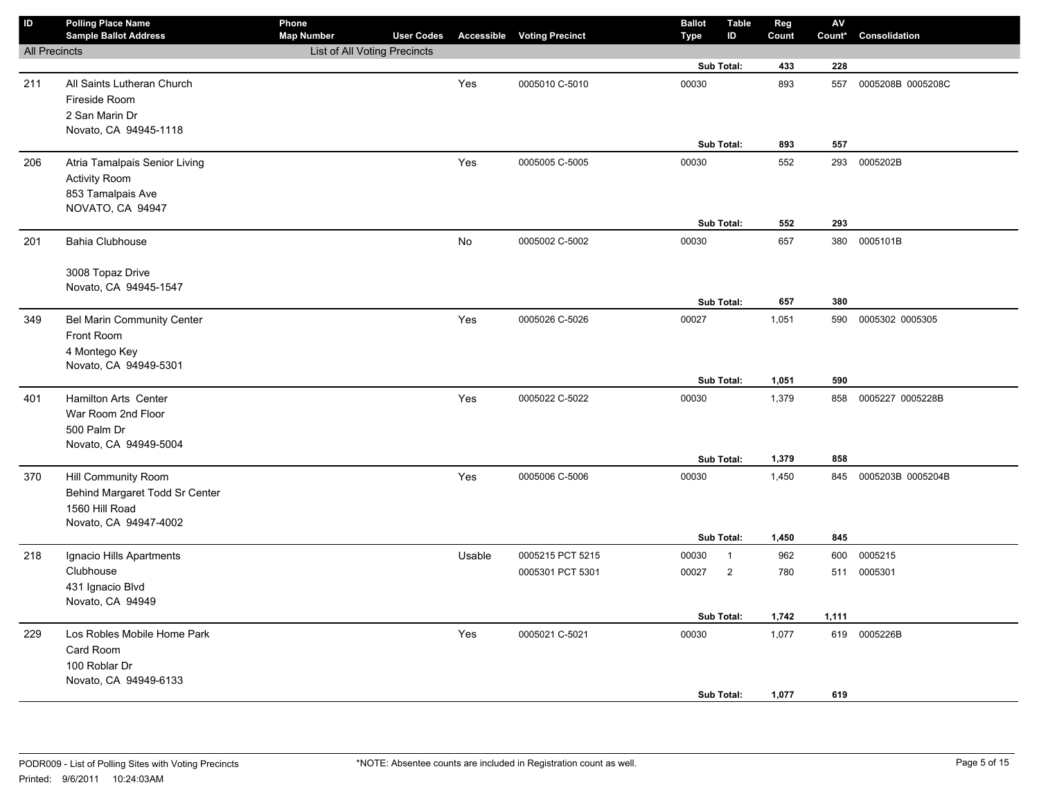| ID                   | <b>Polling Place Name</b><br><b>Sample Ballot Address</b> | Phone<br><b>Map Number</b>   | <b>User Codes</b> |        | <b>Accessible Voting Precinct</b> | <b>Ballot</b><br><b>Type</b> | <b>Table</b><br>ID | Reg<br>Count | ${\sf AV}$<br>Count* | Consolidation        |
|----------------------|-----------------------------------------------------------|------------------------------|-------------------|--------|-----------------------------------|------------------------------|--------------------|--------------|----------------------|----------------------|
| <b>All Precincts</b> |                                                           | List of All Voting Precincts |                   |        |                                   |                              |                    |              |                      |                      |
|                      |                                                           |                              |                   |        |                                   |                              | Sub Total:         | 433          | 228                  |                      |
| 211                  | All Saints Lutheran Church                                |                              |                   | Yes    | 0005010 C-5010                    | 00030                        |                    | 893          | 557                  | 0005208B 0005208C    |
|                      | Fireside Room                                             |                              |                   |        |                                   |                              |                    |              |                      |                      |
|                      | 2 San Marin Dr                                            |                              |                   |        |                                   |                              |                    |              |                      |                      |
|                      | Novato, CA 94945-1118                                     |                              |                   |        |                                   |                              |                    |              |                      |                      |
|                      |                                                           |                              |                   |        |                                   |                              | Sub Total:         | 893          | 557                  |                      |
| 206                  | Atria Tamalpais Senior Living                             |                              |                   | Yes    | 0005005 C-5005                    | 00030                        |                    | 552          |                      | 293 0005202B         |
|                      | <b>Activity Room</b>                                      |                              |                   |        |                                   |                              |                    |              |                      |                      |
|                      | 853 Tamalpais Ave                                         |                              |                   |        |                                   |                              |                    |              |                      |                      |
|                      | NOVATO, CA 94947                                          |                              |                   |        |                                   |                              | <b>Sub Total:</b>  | 552          | 293                  |                      |
| 201                  | <b>Bahia Clubhouse</b>                                    |                              |                   | No     | 0005002 C-5002                    | 00030                        |                    | 657          | 380                  | 0005101B             |
|                      |                                                           |                              |                   |        |                                   |                              |                    |              |                      |                      |
|                      | 3008 Topaz Drive                                          |                              |                   |        |                                   |                              |                    |              |                      |                      |
|                      | Novato, CA 94945-1547                                     |                              |                   |        |                                   |                              |                    |              |                      |                      |
|                      |                                                           |                              |                   |        |                                   |                              | Sub Total:         | 657          | 380                  |                      |
| 349                  | Bel Marin Community Center                                |                              |                   | Yes    | 0005026 C-5026                    | 00027                        |                    | 1,051        | 590                  | 0005302 0005305      |
|                      | Front Room                                                |                              |                   |        |                                   |                              |                    |              |                      |                      |
|                      | 4 Montego Key                                             |                              |                   |        |                                   |                              |                    |              |                      |                      |
|                      | Novato, CA 94949-5301                                     |                              |                   |        |                                   |                              |                    |              |                      |                      |
|                      |                                                           |                              |                   |        |                                   |                              | Sub Total:         | 1,051        | 590                  |                      |
| 401                  | Hamilton Arts Center                                      |                              |                   | Yes    | 0005022 C-5022                    | 00030                        |                    | 1,379        |                      | 858 0005227 0005228B |
|                      | War Room 2nd Floor                                        |                              |                   |        |                                   |                              |                    |              |                      |                      |
|                      | 500 Palm Dr                                               |                              |                   |        |                                   |                              |                    |              |                      |                      |
|                      | Novato, CA 94949-5004                                     |                              |                   |        |                                   |                              |                    |              |                      |                      |
|                      |                                                           |                              |                   |        |                                   |                              | <b>Sub Total:</b>  | 1,379        | 858                  |                      |
| 370                  | Hill Community Room                                       |                              |                   | Yes    | 0005006 C-5006                    | 00030                        |                    | 1,450        | 845                  | 0005203B 0005204B    |
|                      | Behind Margaret Todd Sr Center<br>1560 Hill Road          |                              |                   |        |                                   |                              |                    |              |                      |                      |
|                      | Novato, CA 94947-4002                                     |                              |                   |        |                                   |                              |                    |              |                      |                      |
|                      |                                                           |                              |                   |        |                                   |                              | Sub Total:         | 1,450        | 845                  |                      |
| 218                  | Ignacio Hills Apartments                                  |                              |                   | Usable | 0005215 PCT 5215                  | 00030                        | $\overline{1}$     | 962          | 600                  | 0005215              |
|                      | Clubhouse                                                 |                              |                   |        | 0005301 PCT 5301                  | 00027                        | $\sqrt{2}$         | 780          | 511                  | 0005301              |
|                      | 431 Ignacio Blvd                                          |                              |                   |        |                                   |                              |                    |              |                      |                      |
|                      | Novato, CA 94949                                          |                              |                   |        |                                   |                              |                    |              |                      |                      |
|                      |                                                           |                              |                   |        |                                   |                              | Sub Total:         | 1,742        | 1,111                |                      |
| 229                  | Los Robles Mobile Home Park                               |                              |                   | Yes    | 0005021 C-5021                    | 00030                        |                    | 1,077        |                      | 619 0005226B         |
|                      | Card Room                                                 |                              |                   |        |                                   |                              |                    |              |                      |                      |
|                      | 100 Roblar Dr                                             |                              |                   |        |                                   |                              |                    |              |                      |                      |
|                      | Novato, CA 94949-6133                                     |                              |                   |        |                                   |                              |                    |              |                      |                      |
|                      |                                                           |                              |                   |        |                                   |                              | Sub Total:         | 1,077        | 619                  |                      |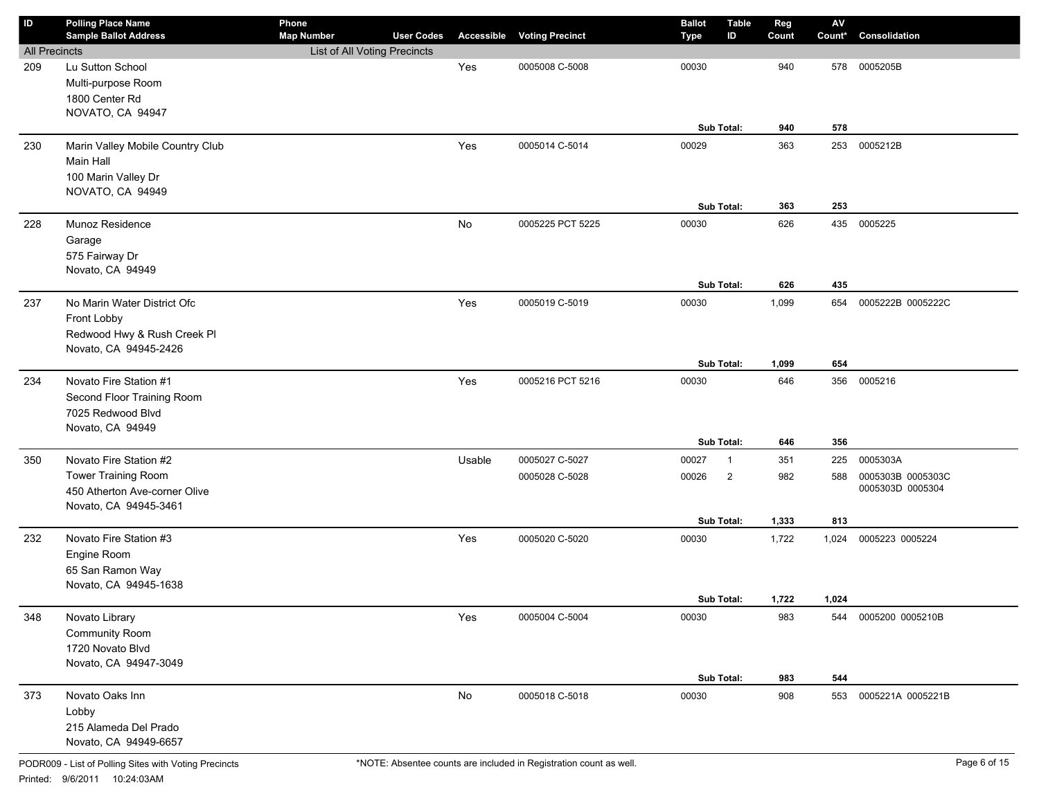| $\mathsf{ID}$        | <b>Polling Place Name</b><br><b>Sample Ballot Address</b> | Phone<br><b>Map Number</b>   | <b>User Codes</b> |        | <b>Accessible Voting Precinct</b> | <b>Ballot</b><br><b>Type</b> | <b>Table</b><br>ID | Reg<br>Count | ${\sf AV}$<br>Count* | Consolidation        |
|----------------------|-----------------------------------------------------------|------------------------------|-------------------|--------|-----------------------------------|------------------------------|--------------------|--------------|----------------------|----------------------|
| <b>All Precincts</b> |                                                           | List of All Voting Precincts |                   |        |                                   |                              |                    |              |                      |                      |
| 209                  | Lu Sutton School                                          |                              |                   | Yes    | 0005008 C-5008                    | 00030                        |                    | 940          | 578                  | 0005205B             |
|                      | Multi-purpose Room                                        |                              |                   |        |                                   |                              |                    |              |                      |                      |
|                      | 1800 Center Rd                                            |                              |                   |        |                                   |                              |                    |              |                      |                      |
|                      | NOVATO, CA 94947                                          |                              |                   |        |                                   |                              |                    |              |                      |                      |
|                      |                                                           |                              |                   |        |                                   |                              | Sub Total:         | 940          | 578                  |                      |
| 230                  | Marin Valley Mobile Country Club                          |                              |                   | Yes    | 0005014 C-5014                    | 00029                        |                    | 363          | 253                  | 0005212B             |
|                      | Main Hall                                                 |                              |                   |        |                                   |                              |                    |              |                      |                      |
|                      | 100 Marin Valley Dr                                       |                              |                   |        |                                   |                              |                    |              |                      |                      |
|                      | NOVATO, CA 94949                                          |                              |                   |        |                                   |                              |                    |              |                      |                      |
|                      |                                                           |                              |                   |        |                                   |                              | Sub Total:         | 363          | 253                  |                      |
| 228                  | Munoz Residence                                           |                              |                   | No     | 0005225 PCT 5225                  | 00030                        |                    | 626          | 435                  | 0005225              |
|                      | Garage                                                    |                              |                   |        |                                   |                              |                    |              |                      |                      |
|                      | 575 Fairway Dr                                            |                              |                   |        |                                   |                              |                    |              |                      |                      |
|                      | Novato, CA 94949                                          |                              |                   |        |                                   |                              |                    |              |                      |                      |
|                      |                                                           |                              |                   |        |                                   |                              | Sub Total:         | 626          | 435                  |                      |
| 237                  | No Marin Water District Ofc                               |                              |                   | Yes    | 0005019 C-5019                    | 00030                        |                    | 1,099        | 654                  | 0005222B 0005222C    |
|                      | Front Lobby                                               |                              |                   |        |                                   |                              |                    |              |                      |                      |
|                      | Redwood Hwy & Rush Creek Pl                               |                              |                   |        |                                   |                              |                    |              |                      |                      |
|                      | Novato, CA 94945-2426                                     |                              |                   |        |                                   |                              |                    |              |                      |                      |
|                      |                                                           |                              |                   |        |                                   |                              | Sub Total:         | 1,099        | 654                  |                      |
| 234                  | Novato Fire Station #1                                    |                              |                   | Yes    | 0005216 PCT 5216                  | 00030                        |                    | 646          | 356                  | 0005216              |
|                      | Second Floor Training Room                                |                              |                   |        |                                   |                              |                    |              |                      |                      |
|                      | 7025 Redwood Blvd                                         |                              |                   |        |                                   |                              |                    |              |                      |                      |
|                      | Novato, CA 94949                                          |                              |                   |        |                                   |                              |                    |              |                      |                      |
|                      |                                                           |                              |                   |        |                                   |                              | Sub Total:         | 646          | 356                  |                      |
| 350                  | Novato Fire Station #2                                    |                              |                   | Usable | 0005027 C-5027                    | 00027                        | $\mathbf{1}$       | 351          | 225                  | 0005303A             |
|                      | Tower Training Room                                       |                              |                   |        | 0005028 C-5028                    | 00026                        | $\overline{2}$     | 982          | 588                  | 0005303B 0005303C    |
|                      | 450 Atherton Ave-corner Olive                             |                              |                   |        |                                   |                              |                    |              |                      | 0005303D 0005304     |
|                      | Novato, CA 94945-3461                                     |                              |                   |        |                                   |                              |                    |              |                      |                      |
|                      |                                                           |                              |                   |        |                                   |                              | Sub Total:         | 1,333        | 813                  |                      |
| 232                  | Novato Fire Station #3                                    |                              |                   | Yes    | 0005020 C-5020                    | 00030                        |                    | 1,722        | 1,024                | 0005223 0005224      |
|                      | Engine Room                                               |                              |                   |        |                                   |                              |                    |              |                      |                      |
|                      | 65 San Ramon Way                                          |                              |                   |        |                                   |                              |                    |              |                      |                      |
|                      | Novato, CA 94945-1638                                     |                              |                   |        |                                   |                              | Sub Total:         |              | 1,024                |                      |
|                      |                                                           |                              |                   |        |                                   |                              |                    | 1,722        |                      |                      |
| 348                  | Novato Library                                            |                              |                   | Yes    | 0005004 C-5004                    | 00030                        |                    | 983          |                      | 544 0005200 0005210B |
|                      | Community Room                                            |                              |                   |        |                                   |                              |                    |              |                      |                      |
|                      | 1720 Novato Blvd<br>Novato, CA 94947-3049                 |                              |                   |        |                                   |                              |                    |              |                      |                      |
|                      |                                                           |                              |                   |        |                                   |                              | Sub Total:         | 983          | 544                  |                      |
| 373                  | Novato Oaks Inn                                           |                              |                   | No     | 0005018 C-5018                    | 00030                        |                    | 908          | 553                  | 0005221A 0005221B    |
|                      | Lobby                                                     |                              |                   |        |                                   |                              |                    |              |                      |                      |
|                      | 215 Alameda Del Prado                                     |                              |                   |        |                                   |                              |                    |              |                      |                      |
|                      | Novato, CA 94949-6657                                     |                              |                   |        |                                   |                              |                    |              |                      |                      |
|                      |                                                           |                              |                   |        |                                   |                              |                    |              |                      |                      |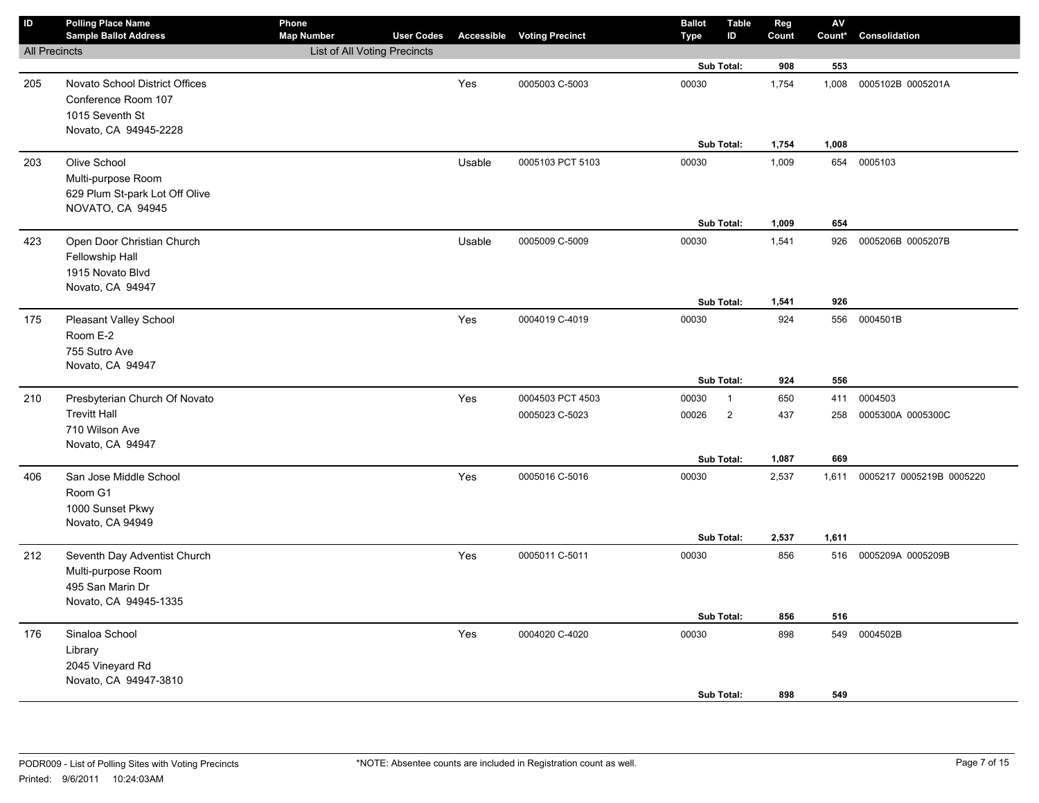| $\sf ID$             | <b>Polling Place Name</b><br><b>Sample Ballot Address</b>                                | Phone<br><b>Map Number</b>   | <b>User Codes</b> |        | <b>Accessible Voting Precinct</b> | <b>Ballot</b><br>Type | <b>Table</b><br>ID | Reg<br>Count   | ${\sf AV}$<br>Count* | Consolidation            |
|----------------------|------------------------------------------------------------------------------------------|------------------------------|-------------------|--------|-----------------------------------|-----------------------|--------------------|----------------|----------------------|--------------------------|
| <b>All Precincts</b> |                                                                                          | List of All Voting Precincts |                   |        |                                   |                       |                    |                |                      |                          |
|                      |                                                                                          |                              |                   |        |                                   |                       | Sub Total:         | 908            | 553                  |                          |
| 205                  | Novato School District Offices<br>Conference Room 107<br>1015 Seventh St                 |                              |                   | Yes    | 0005003 C-5003                    | 00030                 |                    | 1,754          | 1,008                | 0005102B 0005201A        |
|                      | Novato, CA 94945-2228                                                                    |                              |                   |        |                                   |                       | Sub Total:         | 1,754          | 1,008                |                          |
| 203                  | Olive School<br>Multi-purpose Room<br>629 Plum St-park Lot Off Olive<br>NOVATO, CA 94945 |                              |                   | Usable | 0005103 PCT 5103                  | 00030                 |                    | 1,009          | 654                  | 0005103                  |
|                      |                                                                                          |                              |                   |        |                                   |                       | Sub Total:         | 1,009          | 654                  |                          |
| 423                  | Open Door Christian Church<br>Fellowship Hall<br>1915 Novato Blvd<br>Novato, CA 94947    |                              |                   | Usable | 0005009 C-5009                    | 00030                 |                    | 1,541          | 926                  | 0005206B 0005207B        |
|                      |                                                                                          |                              |                   |        |                                   |                       | Sub Total:         | 1,541          | 926                  |                          |
| 175                  | Pleasant Valley School<br>Room E-2<br>755 Sutro Ave<br>Novato, CA 94947                  |                              |                   | Yes    | 0004019 C-4019                    | 00030                 | Sub Total:         | 924<br>924     | 556                  | 556 0004501B             |
| 210                  | Presbyterian Church Of Novato                                                            |                              |                   | Yes    | 0004503 PCT 4503                  | 00030                 | $\mathbf{1}$       | 650            | 411                  | 0004503                  |
|                      | <b>Trevitt Hall</b><br>710 Wilson Ave<br>Novato, CA 94947                                |                              |                   |        | 0005023 C-5023                    | 00026                 | $\overline{2}$     | 437            | 258                  | 0005300A 0005300C        |
|                      |                                                                                          |                              |                   |        |                                   |                       | Sub Total:         | 1,087          | 669                  |                          |
| 406                  | San Jose Middle School<br>Room G1<br>1000 Sunset Pkwy<br>Novato, CA 94949                |                              |                   | Yes    | 0005016 C-5016                    | 00030                 | Sub Total:         | 2,537<br>2,537 | 1,611<br>1,611       | 0005217 0005219B 0005220 |
| 212                  | Seventh Day Adventist Church                                                             |                              |                   | Yes    | 0005011 C-5011                    | 00030                 |                    | 856            |                      | 516 0005209A 0005209B    |
|                      | Multi-purpose Room<br>495 San Marin Dr<br>Novato, CA 94945-1335                          |                              |                   |        |                                   |                       | Sub Total:         | 856            | 516                  |                          |
| 176                  | Sinaloa School                                                                           |                              |                   | Yes    | 0004020 C-4020                    | 00030                 |                    | 898            | 549                  | 0004502B                 |
|                      | Library<br>2045 Vineyard Rd<br>Novato, CA 94947-3810                                     |                              |                   |        |                                   |                       | Sub Total:         | 898            | 549                  |                          |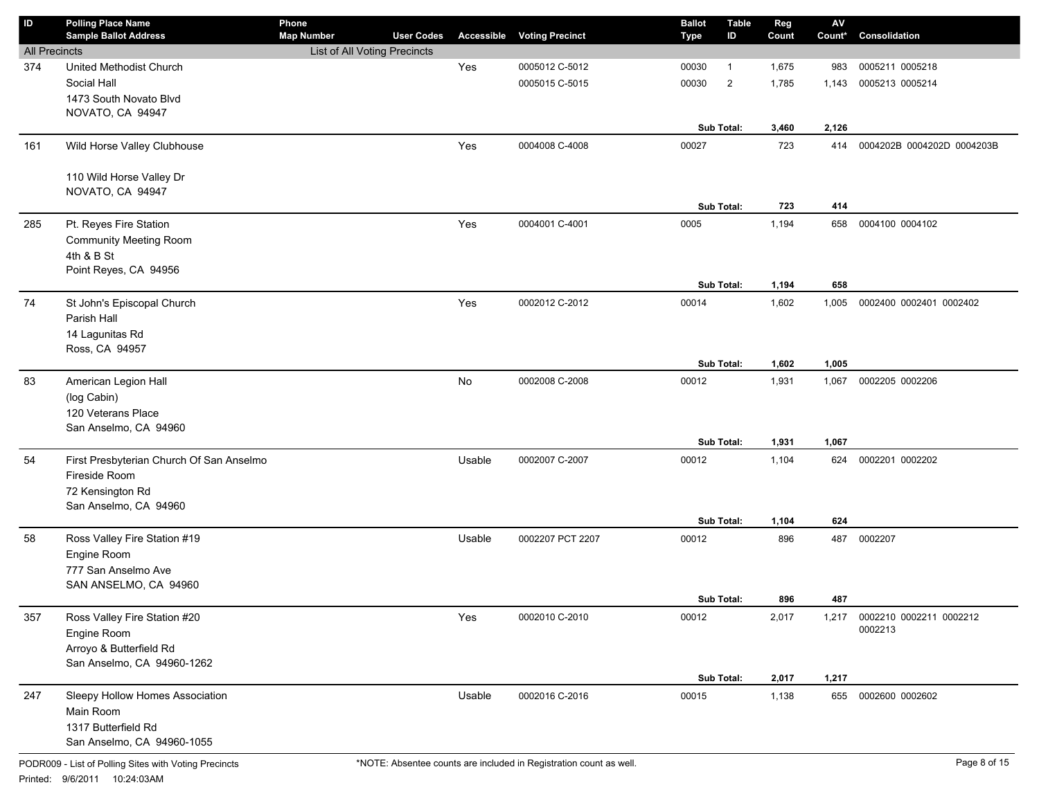| $\mathsf{ID}$        | <b>Polling Place Name</b>                | Phone                        |                   |            |                        | <b>Ballot</b> | Table          | Reg   | $\mathsf{AV}$ |                                    |
|----------------------|------------------------------------------|------------------------------|-------------------|------------|------------------------|---------------|----------------|-------|---------------|------------------------------------|
|                      | <b>Sample Ballot Address</b>             | <b>Map Number</b>            | <b>User Codes</b> | Accessible | <b>Voting Precinct</b> | <b>Type</b>   | ID             | Count | Count*        | Consolidation                      |
| <b>All Precincts</b> |                                          | List of All Voting Precincts |                   |            |                        |               |                |       |               |                                    |
| 374                  | United Methodist Church                  |                              |                   | Yes        | 0005012 C-5012         | 00030         | $\mathbf{1}$   | 1,675 | 983           | 0005211 0005218                    |
|                      | Social Hall                              |                              |                   |            | 0005015 C-5015         | 00030         | $\overline{2}$ | 1,785 | 1,143         | 0005213 0005214                    |
|                      | 1473 South Novato Blvd                   |                              |                   |            |                        |               |                |       |               |                                    |
|                      | NOVATO, CA 94947                         |                              |                   |            |                        |               | Sub Total:     | 3,460 | 2,126         |                                    |
|                      |                                          |                              |                   |            |                        |               |                |       |               |                                    |
| 161                  | Wild Horse Valley Clubhouse              |                              |                   | Yes        | 0004008 C-4008         | 00027         |                | 723   | 414           | 0004202B 0004202D 0004203B         |
|                      | 110 Wild Horse Valley Dr                 |                              |                   |            |                        |               |                |       |               |                                    |
|                      | NOVATO, CA 94947                         |                              |                   |            |                        |               |                |       |               |                                    |
|                      |                                          |                              |                   |            |                        |               | Sub Total:     | 723   | 414           |                                    |
| 285                  | Pt. Reyes Fire Station                   |                              |                   | Yes        | 0004001 C-4001         | 0005          |                | 1,194 | 658           | 0004100 0004102                    |
|                      | <b>Community Meeting Room</b>            |                              |                   |            |                        |               |                |       |               |                                    |
|                      | 4th & B St                               |                              |                   |            |                        |               |                |       |               |                                    |
|                      | Point Reyes, CA 94956                    |                              |                   |            |                        |               |                |       |               |                                    |
|                      |                                          |                              |                   |            |                        |               | Sub Total:     | 1,194 | 658           |                                    |
| 74                   | St John's Episcopal Church               |                              |                   | Yes        | 0002012 C-2012         | 00014         |                | 1,602 | 1,005         | 0002400 0002401 0002402            |
|                      | Parish Hall                              |                              |                   |            |                        |               |                |       |               |                                    |
|                      | 14 Lagunitas Rd                          |                              |                   |            |                        |               |                |       |               |                                    |
|                      | Ross, CA 94957                           |                              |                   |            |                        |               |                |       |               |                                    |
|                      |                                          |                              |                   |            |                        |               | Sub Total:     | 1,602 | 1,005         |                                    |
| 83                   | American Legion Hall                     |                              |                   | No         | 0002008 C-2008         | 00012         |                | 1,931 | 1,067         | 0002205 0002206                    |
|                      | (log Cabin)                              |                              |                   |            |                        |               |                |       |               |                                    |
|                      | 120 Veterans Place                       |                              |                   |            |                        |               |                |       |               |                                    |
|                      | San Anselmo, CA 94960                    |                              |                   |            |                        |               |                |       |               |                                    |
|                      |                                          |                              |                   |            |                        |               | Sub Total:     | 1,931 | 1,067         |                                    |
| 54                   | First Presbyterian Church Of San Anselmo |                              |                   | Usable     | 0002007 C-2007         | 00012         |                | 1,104 | 624           | 0002201 0002202                    |
|                      | Fireside Room                            |                              |                   |            |                        |               |                |       |               |                                    |
|                      | 72 Kensington Rd                         |                              |                   |            |                        |               |                |       |               |                                    |
|                      | San Anselmo, CA 94960                    |                              |                   |            |                        |               |                |       |               |                                    |
|                      |                                          |                              |                   |            |                        |               | Sub Total:     | 1,104 | 624           |                                    |
| 58                   | Ross Valley Fire Station #19             |                              |                   | Usable     | 0002207 PCT 2207       | 00012         |                | 896   | 487           | 0002207                            |
|                      | Engine Room                              |                              |                   |            |                        |               |                |       |               |                                    |
|                      | 777 San Anselmo Ave                      |                              |                   |            |                        |               |                |       |               |                                    |
|                      | SAN ANSELMO, CA 94960                    |                              |                   |            |                        |               |                |       |               |                                    |
|                      |                                          |                              |                   |            |                        |               | Sub Total:     | 896   | 487           |                                    |
| 357                  | Ross Valley Fire Station #20             |                              |                   | Yes        | 0002010 C-2010         | 00012         |                | 2,017 | 1,217         | 0002210 0002211 0002212<br>0002213 |
|                      | Engine Room                              |                              |                   |            |                        |               |                |       |               |                                    |
|                      | Arroyo & Butterfield Rd                  |                              |                   |            |                        |               |                |       |               |                                    |
|                      | San Anselmo, CA 94960-1262               |                              |                   |            |                        |               |                |       |               |                                    |
|                      |                                          |                              |                   |            |                        |               | Sub Total:     | 2,017 | 1,217         |                                    |
| 247                  | Sleepy Hollow Homes Association          |                              |                   | Usable     | 0002016 C-2016         | 00015         |                | 1,138 | 655           | 0002600 0002602                    |
|                      | Main Room                                |                              |                   |            |                        |               |                |       |               |                                    |
|                      | 1317 Butterfield Rd                      |                              |                   |            |                        |               |                |       |               |                                    |
|                      | San Anselmo, CA 94960-1055               |                              |                   |            |                        |               |                |       |               |                                    |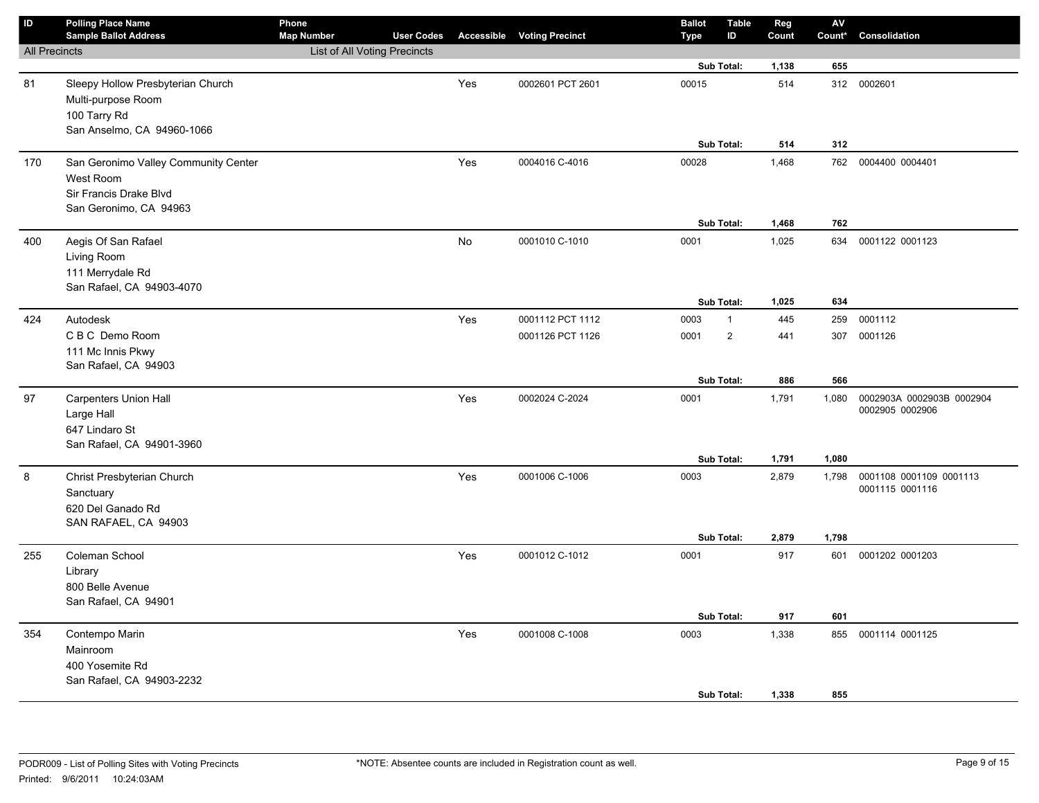| $\sf ID$             | <b>Polling Place Name</b><br><b>Sample Ballot Address</b>                            | Phone<br><b>Map Number</b>   | <b>User Codes</b> |     | <b>Accessible Voting Precinct</b>    | <b>Ballot</b><br>Type | <b>Table</b><br>ID             | Reg<br>Count | ${\sf AV}$<br>Count* | Consolidation                                |
|----------------------|--------------------------------------------------------------------------------------|------------------------------|-------------------|-----|--------------------------------------|-----------------------|--------------------------------|--------------|----------------------|----------------------------------------------|
| <b>All Precincts</b> |                                                                                      | List of All Voting Precincts |                   |     |                                      |                       |                                |              |                      |                                              |
|                      |                                                                                      |                              |                   |     |                                      |                       | Sub Total:                     | 1,138        | 655                  |                                              |
| 81                   | Sleepy Hollow Presbyterian Church<br>Multi-purpose Room<br>100 Tarry Rd              |                              |                   | Yes | 0002601 PCT 2601                     | 00015                 |                                | 514          | 312                  | 0002601                                      |
|                      | San Anselmo, CA 94960-1066                                                           |                              |                   |     |                                      |                       | Sub Total:                     | 514          | 312                  |                                              |
| 170                  | San Geronimo Valley Community Center<br>West Room<br>Sir Francis Drake Blvd          |                              |                   | Yes | 0004016 C-4016                       | 00028                 |                                | 1,468        | 762                  | 0004400 0004401                              |
|                      | San Geronimo, CA 94963                                                               |                              |                   |     |                                      |                       | Sub Total:                     | 1,468        | 762                  |                                              |
| 400                  | Aegis Of San Rafael<br>Living Room<br>111 Merrydale Rd<br>San Rafael, CA 94903-4070  |                              |                   | No  | 0001010 C-1010                       | 0001                  |                                | 1,025        | 634                  | 0001122 0001123                              |
|                      |                                                                                      |                              |                   |     |                                      |                       | Sub Total:                     | 1,025        | 634                  |                                              |
| 424                  | Autodesk<br>C B C Demo Room<br>111 Mc Innis Pkwy                                     |                              |                   | Yes | 0001112 PCT 1112<br>0001126 PCT 1126 | 0003<br>0001          | $\mathbf{1}$<br>$\overline{2}$ | 445<br>441   | 259<br>307           | 0001112<br>0001126                           |
|                      | San Rafael, CA 94903                                                                 |                              |                   |     |                                      |                       | Sub Total:                     | 886          | 566                  |                                              |
| 97                   | Carpenters Union Hall<br>Large Hall<br>647 Lindaro St<br>San Rafael, CA 94901-3960   |                              |                   | Yes | 0002024 C-2024                       | 0001                  |                                | 1,791        | 1,080                | 0002903A 0002903B 0002904<br>0002905 0002906 |
|                      |                                                                                      |                              |                   |     |                                      |                       | Sub Total:                     | 1,791        | 1,080                |                                              |
| 8                    | Christ Presbyterian Church<br>Sanctuary<br>620 Del Ganado Rd<br>SAN RAFAEL, CA 94903 |                              |                   | Yes | 0001006 C-1006                       | 0003                  |                                | 2,879        | 1,798                | 0001108 0001109 0001113<br>0001115 0001116   |
|                      |                                                                                      |                              |                   |     |                                      |                       | Sub Total:                     | 2,879        | 1,798                |                                              |
| 255                  | Coleman School<br>Library<br>800 Belle Avenue<br>San Rafael, CA 94901                |                              |                   | Yes | 0001012 C-1012                       | 0001                  |                                | 917          | 601                  | 0001202 0001203                              |
|                      |                                                                                      |                              |                   |     |                                      |                       | Sub Total:                     | 917          | 601                  |                                              |
| 354                  | Contempo Marin<br>Mainroom<br>400 Yosemite Rd<br>San Rafael, CA 94903-2232           |                              |                   | Yes | 0001008 C-1008                       | 0003                  |                                | 1,338        | 855                  | 0001114 0001125                              |
|                      |                                                                                      |                              |                   |     |                                      |                       | Sub Total:                     | 1,338        | 855                  |                                              |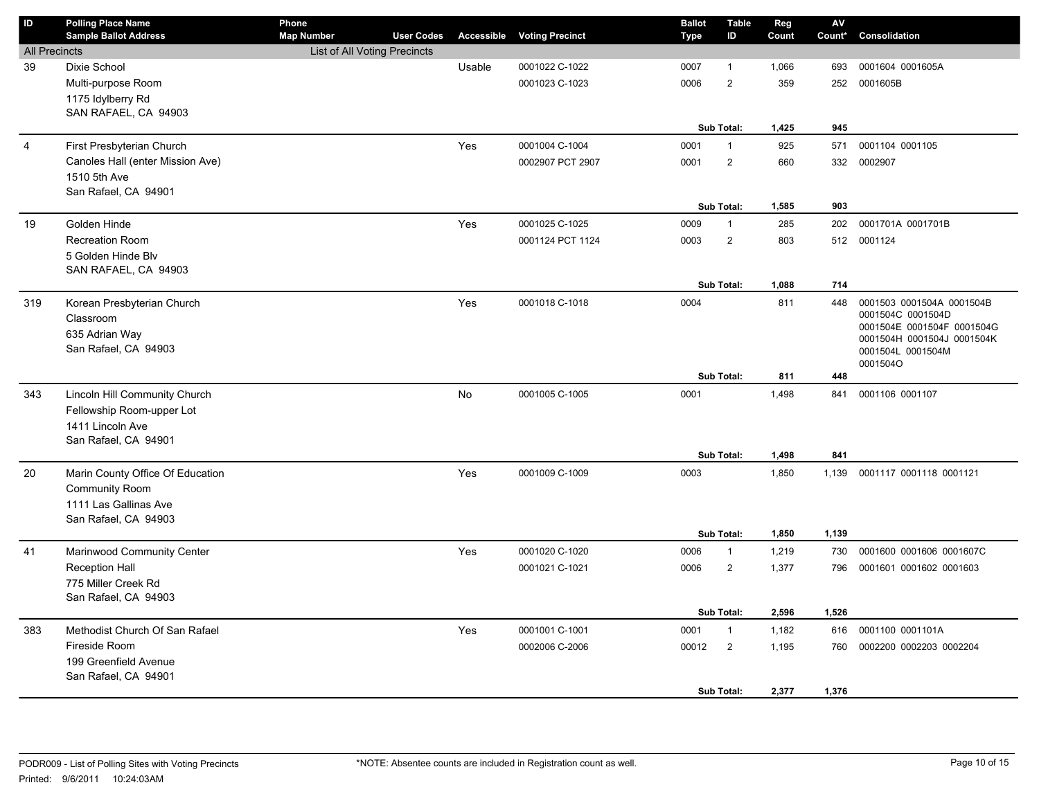| ID                   | <b>Polling Place Name</b><br><b>Sample Ballot Address</b> | Phone<br><b>Map Number</b>   | <b>User Codes</b> | Accessible | <b>Voting Precinct</b> | <b>Ballot</b><br>Type | <b>Table</b><br>ID | Reg<br>Count | ${\sf AV}$<br>Count* | Consolidation                                            |
|----------------------|-----------------------------------------------------------|------------------------------|-------------------|------------|------------------------|-----------------------|--------------------|--------------|----------------------|----------------------------------------------------------|
| <b>All Precincts</b> |                                                           | List of All Voting Precincts |                   |            |                        |                       |                    |              |                      |                                                          |
| 39                   | Dixie School                                              |                              |                   | Usable     | 0001022 C-1022         | 0007                  | $\mathbf{1}$       | 1,066        | 693                  | 0001604 0001605A                                         |
|                      | Multi-purpose Room                                        |                              |                   |            | 0001023 C-1023         | 0006                  | $\overline{2}$     | 359          | 252                  | 0001605B                                                 |
|                      | 1175 Idylberry Rd                                         |                              |                   |            |                        |                       |                    |              |                      |                                                          |
|                      | SAN RAFAEL, CA 94903                                      |                              |                   |            |                        |                       |                    |              |                      |                                                          |
|                      |                                                           |                              |                   |            |                        |                       | Sub Total:         | 1,425        | 945                  |                                                          |
| $\overline{4}$       | First Presbyterian Church                                 |                              |                   | Yes        | 0001004 C-1004         | 0001                  | $\mathbf{1}$       | 925          | 571                  | 0001104 0001105                                          |
|                      | Canoles Hall (enter Mission Ave)                          |                              |                   |            | 0002907 PCT 2907       | 0001                  | $\overline{2}$     | 660          | 332                  | 0002907                                                  |
|                      | 1510 5th Ave                                              |                              |                   |            |                        |                       |                    |              |                      |                                                          |
|                      | San Rafael, CA 94901                                      |                              |                   |            |                        |                       |                    |              |                      |                                                          |
|                      |                                                           |                              |                   |            |                        |                       | Sub Total:         | 1,585        | 903                  |                                                          |
| 19                   | Golden Hinde<br>Recreation Room                           |                              |                   | Yes        | 0001025 C-1025         | 0009                  | $\mathbf{1}$       | 285          | 202                  | 0001701A 0001701B                                        |
|                      | 5 Golden Hinde Blv                                        |                              |                   |            | 0001124 PCT 1124       | 0003                  | $\overline{2}$     | 803          | 512                  | 0001124                                                  |
|                      | SAN RAFAEL, CA 94903                                      |                              |                   |            |                        |                       |                    |              |                      |                                                          |
|                      |                                                           |                              |                   |            |                        |                       | Sub Total:         | 1,088        | 714                  |                                                          |
| 319                  | Korean Presbyterian Church                                |                              |                   | Yes        | 0001018 C-1018         | 0004                  |                    | 811          | 448                  | 0001503 0001504A 0001504B                                |
|                      | Classroom                                                 |                              |                   |            |                        |                       |                    |              |                      | 0001504C 0001504D                                        |
|                      | 635 Adrian Way                                            |                              |                   |            |                        |                       |                    |              |                      | 0001504E 0001504F 0001504G<br>0001504H 0001504J 0001504K |
|                      | San Rafael, CA 94903                                      |                              |                   |            |                        |                       |                    |              |                      | 0001504L 0001504M                                        |
|                      |                                                           |                              |                   |            |                        |                       |                    |              |                      | 0001504O                                                 |
|                      |                                                           |                              |                   |            |                        |                       | Sub Total:         | 811          | 448                  |                                                          |
| 343                  | Lincoln Hill Community Church                             |                              |                   | <b>No</b>  | 0001005 C-1005         | 0001                  |                    | 1,498        | 841                  | 0001106 0001107                                          |
|                      | Fellowship Room-upper Lot                                 |                              |                   |            |                        |                       |                    |              |                      |                                                          |
|                      | 1411 Lincoln Ave                                          |                              |                   |            |                        |                       |                    |              |                      |                                                          |
|                      | San Rafael, CA 94901                                      |                              |                   |            |                        |                       | Sub Total:         | 1,498        | 841                  |                                                          |
| 20                   | Marin County Office Of Education                          |                              |                   | Yes        | 0001009 C-1009         | 0003                  |                    | 1,850        | 1,139                | 0001117 0001118 0001121                                  |
|                      | <b>Community Room</b>                                     |                              |                   |            |                        |                       |                    |              |                      |                                                          |
|                      | 1111 Las Gallinas Ave                                     |                              |                   |            |                        |                       |                    |              |                      |                                                          |
|                      | San Rafael, CA 94903                                      |                              |                   |            |                        |                       |                    |              |                      |                                                          |
|                      |                                                           |                              |                   |            |                        |                       | Sub Total:         | 1,850        | 1,139                |                                                          |
| 41                   | Marinwood Community Center                                |                              |                   | Yes        | 0001020 C-1020         | 0006                  | $\mathbf{1}$       | 1,219        | 730                  | 0001600 0001606 0001607C                                 |
|                      | <b>Reception Hall</b>                                     |                              |                   |            | 0001021 C-1021         | 0006                  | $\overline{2}$     | 1,377        | 796                  | 0001601 0001602 0001603                                  |
|                      | 775 Miller Creek Rd                                       |                              |                   |            |                        |                       |                    |              |                      |                                                          |
|                      | San Rafael, CA 94903                                      |                              |                   |            |                        |                       |                    |              |                      |                                                          |
|                      |                                                           |                              |                   |            |                        |                       | Sub Total:         | 2,596        | 1,526                |                                                          |
| 383                  | Methodist Church Of San Rafael                            |                              |                   | Yes        | 0001001 C-1001         | 0001                  | $\mathbf{1}$       | 1,182        | 616                  | 0001100 0001101A                                         |
|                      | Fireside Room                                             |                              |                   |            | 0002006 C-2006         | 00012                 | $\overline{2}$     | 1,195        | 760                  | 0002200 0002203 0002204                                  |
|                      | 199 Greenfield Avenue                                     |                              |                   |            |                        |                       |                    |              |                      |                                                          |
|                      | San Rafael, CA 94901                                      |                              |                   |            |                        |                       | Sub Total:         | 2,377        | 1,376                |                                                          |
|                      |                                                           |                              |                   |            |                        |                       |                    |              |                      |                                                          |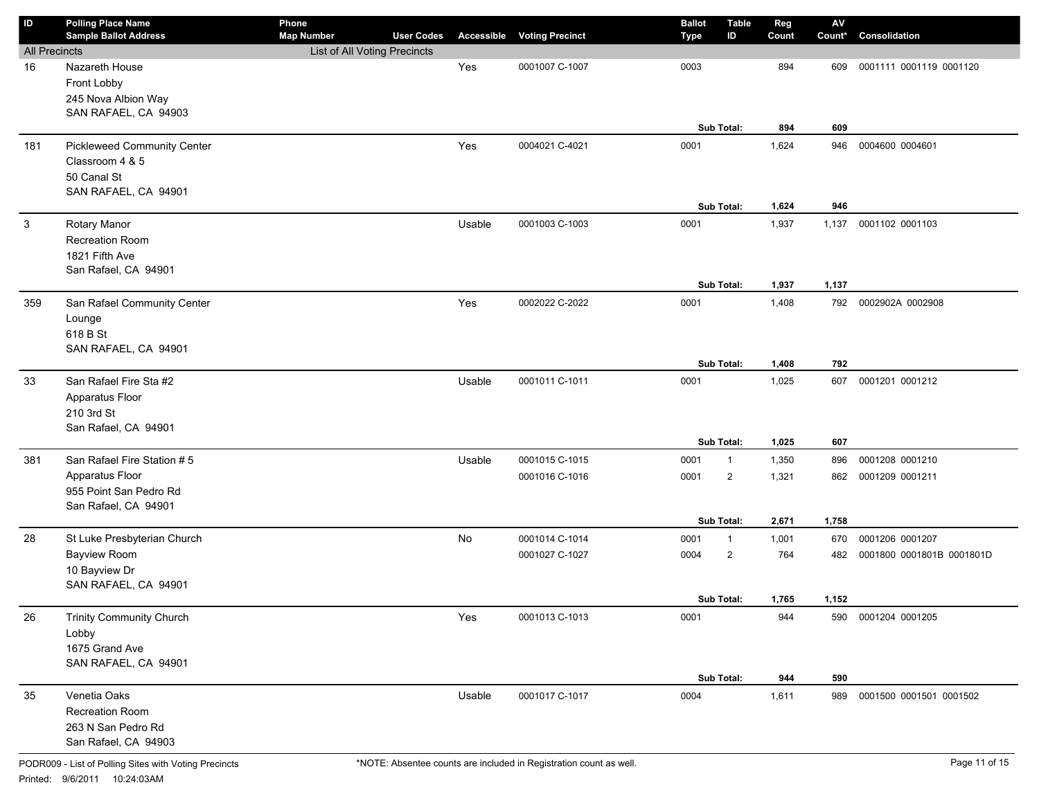| ID                   | <b>Polling Place Name</b><br><b>Sample Ballot Address</b> | Phone<br><b>Map Number</b>   | <b>User Codes</b> | <b>Accessible</b> | <b>Voting Precinct</b> | <b>Ballot</b><br><b>Type</b> | <b>Table</b><br>ID | Reg<br>Count | ${\sf AV}$<br>Count* | Consolidation                 |
|----------------------|-----------------------------------------------------------|------------------------------|-------------------|-------------------|------------------------|------------------------------|--------------------|--------------|----------------------|-------------------------------|
| <b>All Precincts</b> |                                                           | List of All Voting Precincts |                   |                   |                        |                              |                    |              |                      |                               |
| 16                   | Nazareth House                                            |                              |                   | Yes               | 0001007 C-1007         | 0003                         |                    | 894          | 609                  | 0001111 0001119 0001120       |
|                      | Front Lobby                                               |                              |                   |                   |                        |                              |                    |              |                      |                               |
|                      | 245 Nova Albion Way                                       |                              |                   |                   |                        |                              |                    |              |                      |                               |
|                      | SAN RAFAEL, CA 94903                                      |                              |                   |                   |                        |                              |                    |              |                      |                               |
|                      |                                                           |                              |                   |                   |                        |                              | Sub Total:         | 894          | 609                  |                               |
| 181                  | <b>Pickleweed Community Center</b>                        |                              |                   | Yes               | 0004021 C-4021         | 0001                         |                    | 1,624        | 946                  | 0004600 0004601               |
|                      | Classroom 4 & 5                                           |                              |                   |                   |                        |                              |                    |              |                      |                               |
|                      | 50 Canal St                                               |                              |                   |                   |                        |                              |                    |              |                      |                               |
|                      | SAN RAFAEL, CA 94901                                      |                              |                   |                   |                        |                              |                    |              |                      |                               |
|                      |                                                           |                              |                   |                   |                        |                              | Sub Total:         | 1,624        | 946                  |                               |
| 3                    | Rotary Manor                                              |                              |                   | Usable            | 0001003 C-1003         | 0001                         |                    | 1,937        | 1,137                | 0001102 0001103               |
|                      | Recreation Room                                           |                              |                   |                   |                        |                              |                    |              |                      |                               |
|                      | 1821 Fifth Ave                                            |                              |                   |                   |                        |                              |                    |              |                      |                               |
|                      | San Rafael, CA 94901                                      |                              |                   |                   |                        |                              |                    |              |                      |                               |
|                      |                                                           |                              |                   |                   |                        |                              | Sub Total:         | 1,937        | 1,137                |                               |
| 359                  | San Rafael Community Center                               |                              |                   | Yes               | 0002022 C-2022         | 0001                         |                    | 1,408        | 792                  | 0002902A 0002908              |
|                      | Lounge                                                    |                              |                   |                   |                        |                              |                    |              |                      |                               |
|                      | 618 B St                                                  |                              |                   |                   |                        |                              |                    |              |                      |                               |
|                      | SAN RAFAEL, CA 94901                                      |                              |                   |                   |                        |                              | Sub Total:         |              | 792                  |                               |
|                      |                                                           |                              |                   |                   |                        |                              |                    | 1,408        |                      |                               |
| 33                   | San Rafael Fire Sta #2                                    |                              |                   | Usable            | 0001011 C-1011         | 0001                         |                    | 1,025        | 607                  | 0001201 0001212               |
|                      | Apparatus Floor                                           |                              |                   |                   |                        |                              |                    |              |                      |                               |
|                      | 210 3rd St<br>San Rafael, CA 94901                        |                              |                   |                   |                        |                              |                    |              |                      |                               |
|                      |                                                           |                              |                   |                   |                        |                              | Sub Total:         | 1,025        | 607                  |                               |
| 381                  | San Rafael Fire Station #5                                |                              |                   | Usable            | 0001015 C-1015         | 0001                         | $\mathbf{1}$       | 1,350        | 896                  | 0001208 0001210               |
|                      | Apparatus Floor                                           |                              |                   |                   | 0001016 C-1016         | 0001                         | $\overline{2}$     | 1,321        | 862                  | 0001209 0001211               |
|                      | 955 Point San Pedro Rd                                    |                              |                   |                   |                        |                              |                    |              |                      |                               |
|                      | San Rafael, CA 94901                                      |                              |                   |                   |                        |                              |                    |              |                      |                               |
|                      |                                                           |                              |                   |                   |                        |                              | Sub Total:         | 2,671        | 1,758                |                               |
| 28                   | St Luke Presbyterian Church                               |                              |                   | No                | 0001014 C-1014         | 0001                         | $\mathbf{1}$       | 1,001        | 670                  | 0001206 0001207               |
|                      | <b>Bayview Room</b>                                       |                              |                   |                   | 0001027 C-1027         | 0004                         | $\overline{a}$     | 764          |                      | 482 0001800 0001801B 0001801D |
|                      | 10 Bayview Dr                                             |                              |                   |                   |                        |                              |                    |              |                      |                               |
|                      | SAN RAFAEL, CA 94901                                      |                              |                   |                   |                        |                              |                    |              |                      |                               |
|                      |                                                           |                              |                   |                   |                        |                              | Sub Total:         | 1,765        | 1,152                |                               |
| 26                   | <b>Trinity Community Church</b>                           |                              |                   | Yes               | 0001013 C-1013         | 0001                         |                    | 944          |                      | 590 0001204 0001205           |
|                      | Lobby                                                     |                              |                   |                   |                        |                              |                    |              |                      |                               |
|                      | 1675 Grand Ave                                            |                              |                   |                   |                        |                              |                    |              |                      |                               |
|                      | SAN RAFAEL, CA 94901                                      |                              |                   |                   |                        |                              |                    |              |                      |                               |
|                      |                                                           |                              |                   |                   |                        |                              | Sub Total:         | 944          | 590                  |                               |
| 35                   | Venetia Oaks                                              |                              |                   | Usable            | 0001017 C-1017         | 0004                         |                    | 1,611        | 989                  | 0001500 0001501 0001502       |
|                      | Recreation Room                                           |                              |                   |                   |                        |                              |                    |              |                      |                               |
|                      | 263 N San Pedro Rd                                        |                              |                   |                   |                        |                              |                    |              |                      |                               |
|                      | San Rafael, CA 94903                                      |                              |                   |                   |                        |                              |                    |              |                      |                               |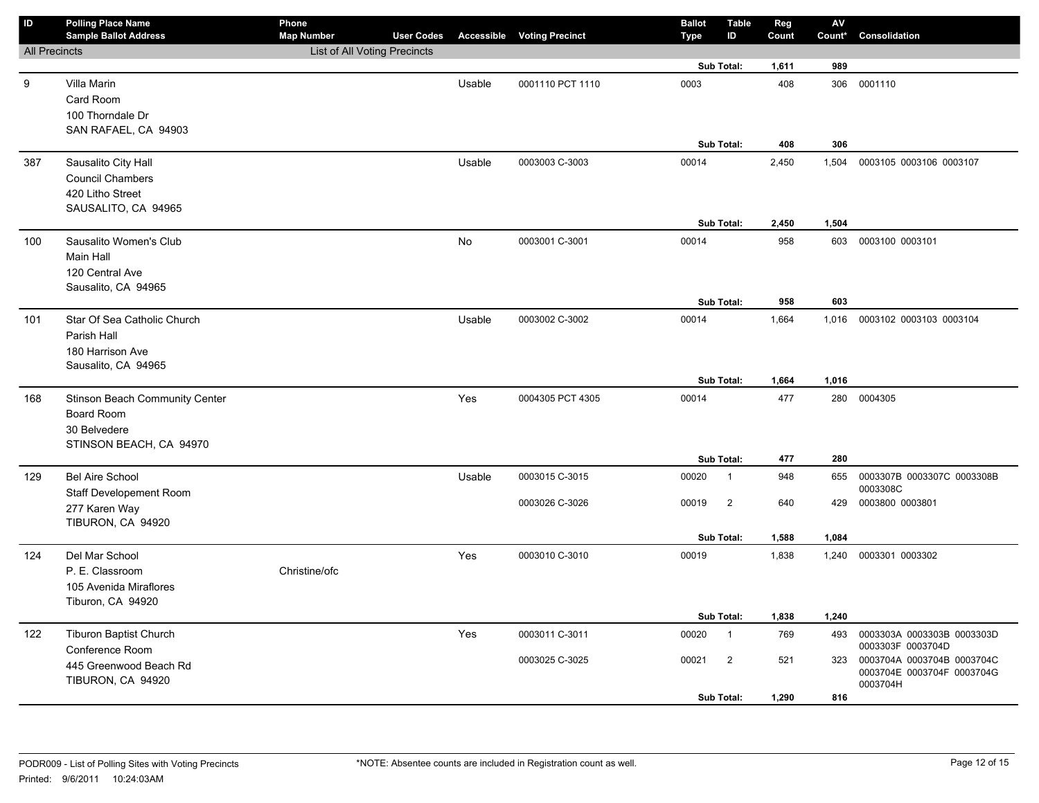| $\mathsf{ID}$        | <b>Polling Place Name</b><br><b>Sample Ballot Address</b> | Phone<br><b>Map Number</b>   | <b>User Codes</b> |        | <b>Accessible Voting Precinct</b> | <b>Ballot</b><br>Type | Table<br>ID    | Reg<br>Count | $\mathbf{A}\mathbf{V}$<br>Count* | Consolidation                          |
|----------------------|-----------------------------------------------------------|------------------------------|-------------------|--------|-----------------------------------|-----------------------|----------------|--------------|----------------------------------|----------------------------------------|
| <b>All Precincts</b> |                                                           | List of All Voting Precincts |                   |        |                                   |                       |                |              |                                  |                                        |
|                      |                                                           |                              |                   |        |                                   |                       | Sub Total:     | 1,611        | 989                              |                                        |
| 9                    | Villa Marin                                               |                              |                   | Usable | 0001110 PCT 1110                  | 0003                  |                | 408          | 306                              | 0001110                                |
|                      | Card Room                                                 |                              |                   |        |                                   |                       |                |              |                                  |                                        |
|                      | 100 Thorndale Dr                                          |                              |                   |        |                                   |                       |                |              |                                  |                                        |
|                      | SAN RAFAEL, CA 94903                                      |                              |                   |        |                                   |                       |                |              |                                  |                                        |
|                      |                                                           |                              |                   |        |                                   |                       | Sub Total:     | 408          | 306                              |                                        |
| 387                  | Sausalito City Hall                                       |                              |                   | Usable | 0003003 C-3003                    | 00014                 |                | 2,450        | 1,504                            | 0003105 0003106 0003107                |
|                      | <b>Council Chambers</b>                                   |                              |                   |        |                                   |                       |                |              |                                  |                                        |
|                      | 420 Litho Street                                          |                              |                   |        |                                   |                       |                |              |                                  |                                        |
|                      | SAUSALITO, CA 94965                                       |                              |                   |        |                                   |                       |                |              |                                  |                                        |
|                      |                                                           |                              |                   |        |                                   |                       | Sub Total:     | 2,450        | 1,504                            |                                        |
| 100                  | Sausalito Women's Club                                    |                              |                   | No     | 0003001 C-3001                    | 00014                 |                | 958          | 603                              | 0003100 0003101                        |
|                      | Main Hall                                                 |                              |                   |        |                                   |                       |                |              |                                  |                                        |
|                      | 120 Central Ave                                           |                              |                   |        |                                   |                       |                |              |                                  |                                        |
|                      | Sausalito, CA 94965                                       |                              |                   |        |                                   |                       | Sub Total:     | 958          | 603                              |                                        |
| 101                  | Star Of Sea Catholic Church                               |                              |                   | Usable | 0003002 C-3002                    | 00014                 |                | 1,664        | 1,016                            | 0003102 0003103 0003104                |
|                      | Parish Hall                                               |                              |                   |        |                                   |                       |                |              |                                  |                                        |
|                      | 180 Harrison Ave                                          |                              |                   |        |                                   |                       |                |              |                                  |                                        |
|                      | Sausalito, CA 94965                                       |                              |                   |        |                                   |                       |                |              |                                  |                                        |
|                      |                                                           |                              |                   |        |                                   |                       | Sub Total:     | 1,664        | 1,016                            |                                        |
| 168                  | Stinson Beach Community Center                            |                              |                   | Yes    | 0004305 PCT 4305                  | 00014                 |                | 477          |                                  | 280 0004305                            |
|                      | Board Room                                                |                              |                   |        |                                   |                       |                |              |                                  |                                        |
|                      | 30 Belvedere                                              |                              |                   |        |                                   |                       |                |              |                                  |                                        |
|                      | STINSON BEACH, CA 94970                                   |                              |                   |        |                                   |                       |                |              |                                  |                                        |
|                      |                                                           |                              |                   |        |                                   |                       | Sub Total:     | 477          | 280                              |                                        |
| 129                  | <b>Bel Aire School</b>                                    |                              |                   | Usable | 0003015 C-3015                    | 00020                 | $\overline{1}$ | 948          |                                  | 655 0003307B 0003307C 0003308B         |
|                      | Staff Developement Room                                   |                              |                   |        |                                   |                       |                |              |                                  | 0003308C                               |
|                      | 277 Karen Way                                             |                              |                   |        | 0003026 C-3026                    | 00019                 | $\overline{2}$ | 640          | 429                              | 0003800 0003801                        |
|                      | TIBURON, CA 94920                                         |                              |                   |        |                                   |                       |                |              |                                  |                                        |
|                      |                                                           |                              |                   |        |                                   |                       | Sub Total:     | 1,588        | 1,084                            |                                        |
| 124                  | Del Mar School                                            |                              |                   | Yes    | 0003010 C-3010                    | 00019                 |                | 1,838        | 1,240                            | 0003301 0003302                        |
|                      | P. E. Classroom                                           | Christine/ofc                |                   |        |                                   |                       |                |              |                                  |                                        |
|                      | 105 Avenida Miraflores                                    |                              |                   |        |                                   |                       |                |              |                                  |                                        |
|                      | Tiburon, CA 94920                                         |                              |                   |        |                                   |                       | Sub Total:     | 1,838        | 1,240                            |                                        |
| 122                  | Tiburon Baptist Church                                    |                              |                   | Yes    | 0003011 C-3011                    | 00020                 | $\overline{1}$ | 769          |                                  | 493 0003303A 0003303B 0003303D         |
|                      | Conference Room                                           |                              |                   |        |                                   |                       |                |              |                                  | 0003303F 0003704D                      |
|                      | 445 Greenwood Beach Rd                                    |                              |                   |        | 0003025 C-3025                    | 00021                 | $\overline{2}$ | 521          |                                  | 323 0003704A 0003704B 0003704C         |
|                      | TIBURON, CA 94920                                         |                              |                   |        |                                   |                       |                |              |                                  | 0003704E 0003704F 0003704G<br>0003704H |
|                      |                                                           |                              |                   |        |                                   |                       | Sub Total:     | 1,290        | 816                              |                                        |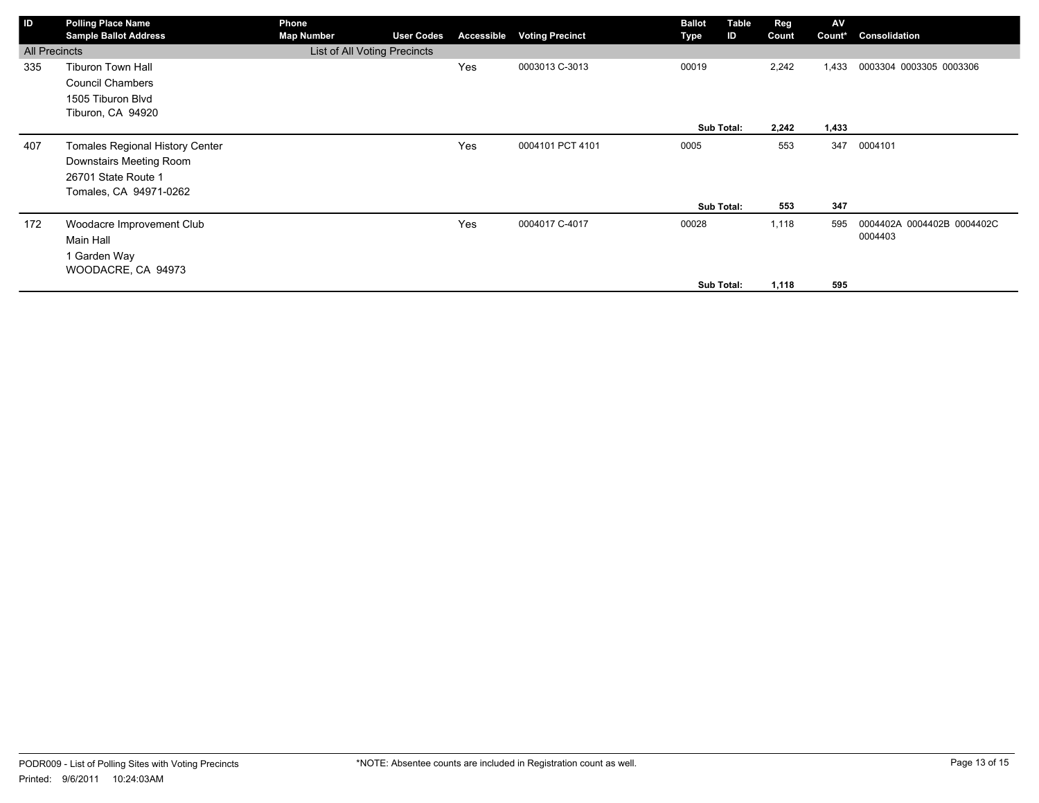| $\mathsf{ID}$        | <b>Polling Place Name</b><br><b>Sample Ballot Address</b> | Phone<br><b>Map Number</b>   | <b>User Codes</b> | Accessible | <b>Voting Precinct</b> | <b>Ballot</b><br><b>Type</b> | Table<br>ID | Reg<br>Count | AV<br>Count* | Consolidation              |
|----------------------|-----------------------------------------------------------|------------------------------|-------------------|------------|------------------------|------------------------------|-------------|--------------|--------------|----------------------------|
| <b>All Precincts</b> |                                                           | List of All Voting Precincts |                   |            |                        |                              |             |              |              |                            |
| 335                  | <b>Tiburon Town Hall</b>                                  |                              |                   | Yes        | 0003013 C-3013         | 00019                        |             | 2,242        | 1,433        | 0003304 0003305 0003306    |
|                      | <b>Council Chambers</b>                                   |                              |                   |            |                        |                              |             |              |              |                            |
|                      | 1505 Tiburon Blvd                                         |                              |                   |            |                        |                              |             |              |              |                            |
|                      | Tiburon, CA 94920                                         |                              |                   |            |                        |                              |             |              |              |                            |
|                      |                                                           |                              |                   |            |                        | Sub Total:                   |             | 2,242        | 1,433        |                            |
| 407                  | Tomales Regional History Center                           |                              |                   | Yes        | 0004101 PCT 4101       | 0005                         |             | 553          | 347          | 0004101                    |
|                      | Downstairs Meeting Room                                   |                              |                   |            |                        |                              |             |              |              |                            |
|                      | 26701 State Route 1                                       |                              |                   |            |                        |                              |             |              |              |                            |
|                      | Tomales, CA 94971-0262                                    |                              |                   |            |                        |                              |             |              |              |                            |
|                      |                                                           |                              |                   |            |                        | Sub Total:                   |             | 553          | 347          |                            |
| 172                  | Woodacre Improvement Club                                 |                              |                   | Yes        | 0004017 C-4017         | 00028                        |             | 1,118        | 595          | 0004402A 0004402B 0004402C |
|                      | Main Hall                                                 |                              |                   |            |                        |                              |             |              |              | 0004403                    |
|                      | 1 Garden Way                                              |                              |                   |            |                        |                              |             |              |              |                            |
|                      | WOODACRE, CA 94973                                        |                              |                   |            |                        |                              |             |              |              |                            |
|                      |                                                           |                              |                   |            |                        |                              | Sub Total:  | 1,118        | 595          |                            |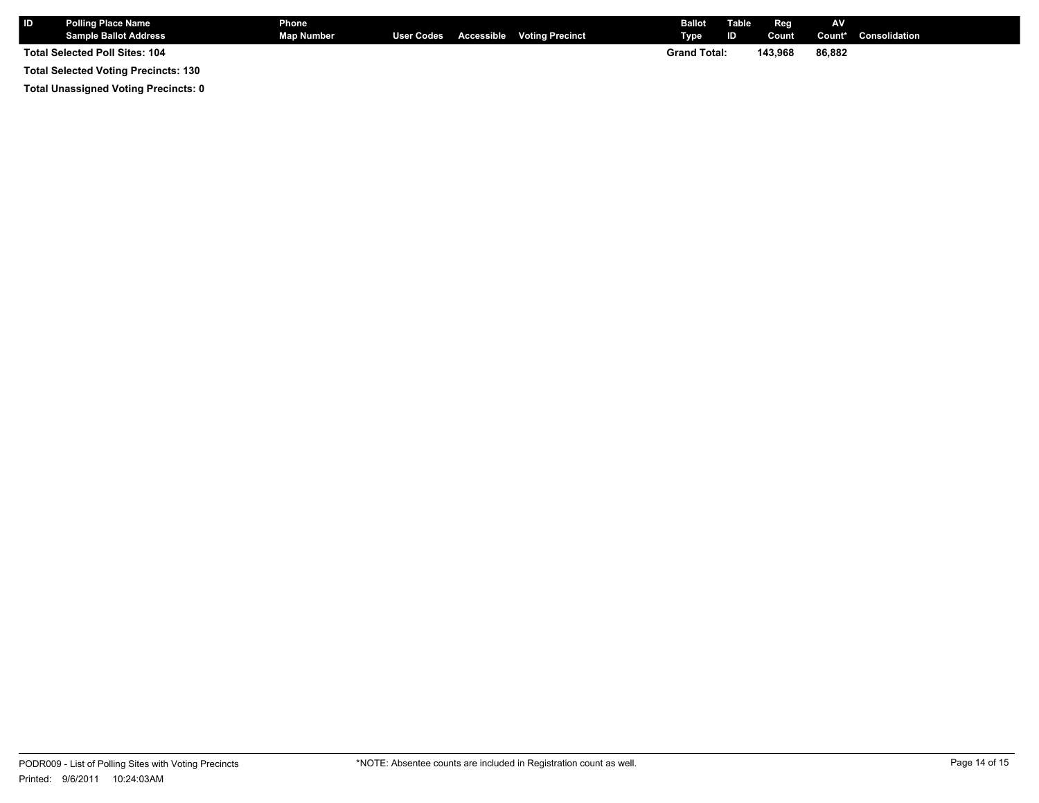| l ID.                                       | <b>Polling Place Name</b><br><b>Sample Ballot Address</b> | <b>Phone</b><br>Map Number |  |  | User Codes Accessible Voting Precinct | <b>Ballot</b><br>Type | Table<br>ID | <b>Reg</b><br>Count | AV     | <b>Count*</b> Consolidation |
|---------------------------------------------|-----------------------------------------------------------|----------------------------|--|--|---------------------------------------|-----------------------|-------------|---------------------|--------|-----------------------------|
|                                             | <b>Total Selected Poll Sites: 104</b>                     |                            |  |  |                                       | <b>Grand Total:</b>   |             | 143.968             | 86,882 |                             |
| <b>Total Selected Voting Precincts: 130</b> |                                                           |                            |  |  |                                       |                       |             |                     |        |                             |

**Total Unassigned Voting Precincts: 0**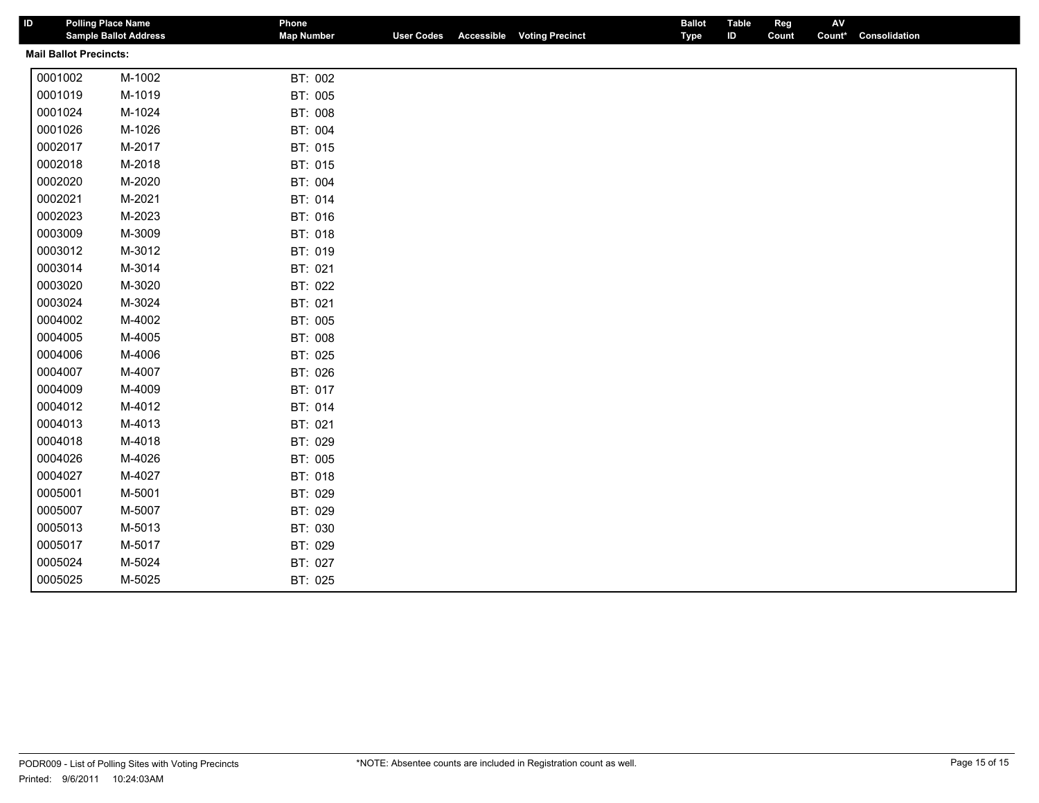| ID |                               | <b>Polling Place Name</b><br><b>Sample Ballot Address</b> | Phone<br><b>Map Number</b> | <b>User Codes</b> | <b>Accessible Voting Precinct</b> | <b>Ballot</b><br><b>Type</b> | <b>Table</b><br>ID | Reg<br>Count | ${\sf AV}$<br>Count* | Consolidation |  |
|----|-------------------------------|-----------------------------------------------------------|----------------------------|-------------------|-----------------------------------|------------------------------|--------------------|--------------|----------------------|---------------|--|
|    | <b>Mail Ballot Precincts:</b> |                                                           |                            |                   |                                   |                              |                    |              |                      |               |  |
|    | 0001002                       | M-1002                                                    | BT: 002                    |                   |                                   |                              |                    |              |                      |               |  |
|    | 0001019                       | M-1019                                                    | BT: 005                    |                   |                                   |                              |                    |              |                      |               |  |
|    | 0001024                       | M-1024                                                    | BT: 008                    |                   |                                   |                              |                    |              |                      |               |  |
|    | 0001026                       | M-1026                                                    | BT: 004                    |                   |                                   |                              |                    |              |                      |               |  |
|    | 0002017                       | M-2017                                                    | BT: 015                    |                   |                                   |                              |                    |              |                      |               |  |
|    | 0002018                       | M-2018                                                    | BT: 015                    |                   |                                   |                              |                    |              |                      |               |  |
|    | 0002020                       | M-2020                                                    | BT: 004                    |                   |                                   |                              |                    |              |                      |               |  |
|    | 0002021                       | M-2021                                                    | BT: 014                    |                   |                                   |                              |                    |              |                      |               |  |
|    | 0002023                       | M-2023                                                    | BT: 016                    |                   |                                   |                              |                    |              |                      |               |  |
|    | 0003009                       | M-3009                                                    | BT: 018                    |                   |                                   |                              |                    |              |                      |               |  |
|    | 0003012                       | M-3012                                                    | BT: 019                    |                   |                                   |                              |                    |              |                      |               |  |
|    | 0003014                       | M-3014                                                    | BT: 021                    |                   |                                   |                              |                    |              |                      |               |  |
|    | 0003020                       | M-3020                                                    | BT: 022                    |                   |                                   |                              |                    |              |                      |               |  |
|    | 0003024                       | M-3024                                                    | BT: 021                    |                   |                                   |                              |                    |              |                      |               |  |
|    | 0004002                       | M-4002                                                    | BT: 005                    |                   |                                   |                              |                    |              |                      |               |  |
|    | 0004005                       | M-4005                                                    | BT: 008                    |                   |                                   |                              |                    |              |                      |               |  |
|    | 0004006                       | M-4006                                                    | BT: 025                    |                   |                                   |                              |                    |              |                      |               |  |
|    | 0004007                       | M-4007                                                    | BT: 026                    |                   |                                   |                              |                    |              |                      |               |  |
|    | 0004009                       | M-4009                                                    | BT: 017                    |                   |                                   |                              |                    |              |                      |               |  |
|    | 0004012                       | M-4012                                                    | BT: 014                    |                   |                                   |                              |                    |              |                      |               |  |
|    | 0004013                       | M-4013                                                    | BT: 021                    |                   |                                   |                              |                    |              |                      |               |  |
|    | 0004018                       | M-4018                                                    | BT: 029                    |                   |                                   |                              |                    |              |                      |               |  |
|    | 0004026                       | M-4026                                                    | BT: 005                    |                   |                                   |                              |                    |              |                      |               |  |
|    | 0004027                       | M-4027                                                    | BT: 018                    |                   |                                   |                              |                    |              |                      |               |  |
|    | 0005001                       | M-5001                                                    | BT: 029                    |                   |                                   |                              |                    |              |                      |               |  |
|    | 0005007                       | M-5007                                                    | BT: 029                    |                   |                                   |                              |                    |              |                      |               |  |
|    | 0005013                       | M-5013                                                    | BT: 030                    |                   |                                   |                              |                    |              |                      |               |  |
|    | 0005017                       | M-5017                                                    | BT: 029                    |                   |                                   |                              |                    |              |                      |               |  |
|    | 0005024                       | M-5024                                                    | BT: 027                    |                   |                                   |                              |                    |              |                      |               |  |
|    | 0005025                       | M-5025                                                    | BT: 025                    |                   |                                   |                              |                    |              |                      |               |  |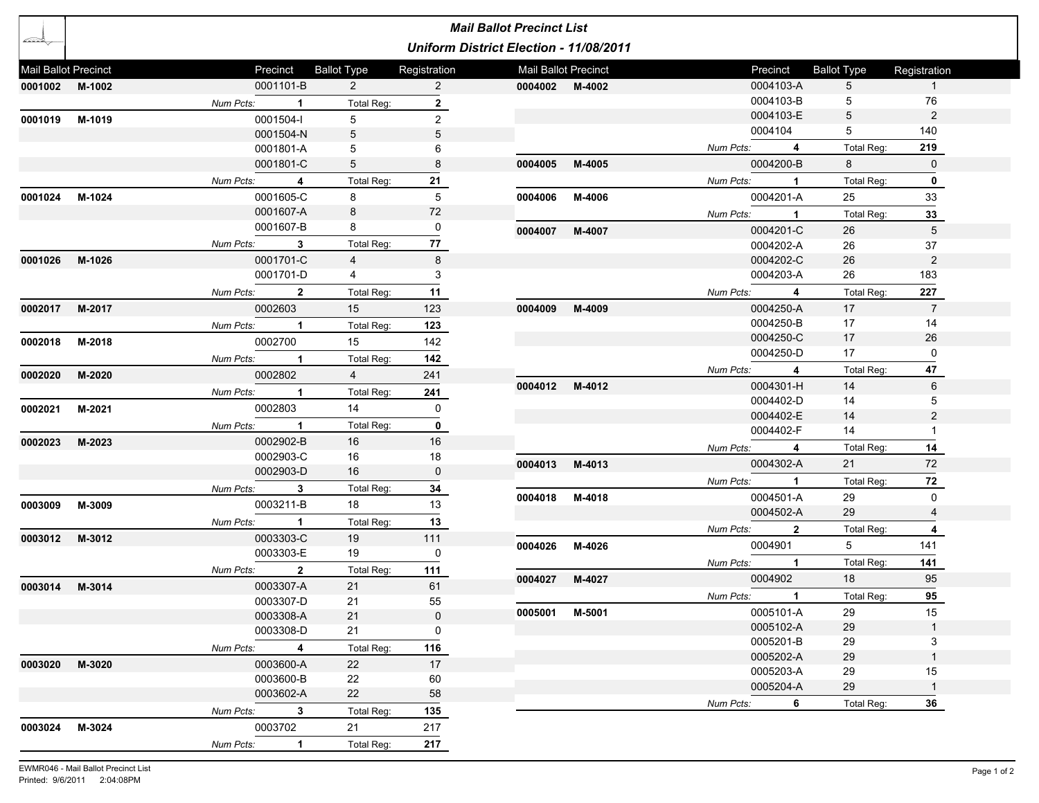|                      |        |           |                      |                            | <b>Mail Ballot Precinct List</b>              |                      |           |                         |                    |                |
|----------------------|--------|-----------|----------------------|----------------------------|-----------------------------------------------|----------------------|-----------|-------------------------|--------------------|----------------|
| atan K               |        |           |                      |                            | <b>Uniform District Election - 11/08/2011</b> |                      |           |                         |                    |                |
| Mail Ballot Precinct |        | Precinct  | <b>Ballot Type</b>   | Registration               |                                               | Mail Ballot Precinct |           | Precinct                | <b>Ballot Type</b> | Registration   |
| 0001002 M-1002       |        | 0001101-B | $\overline{2}$       | $\overline{2}$             | 0004002 M-4002                                |                      |           | 0004103-A               | 5                  | $\overline{1}$ |
|                      |        | Num Pcts: | $\blacktriangleleft$ | $\mathbf{2}$<br>Total Reg: |                                               |                      |           | 0004103-B               | 5                  | 76             |
| 0001019              | M-1019 | 0001504-l | 5                    | $\overline{2}$             |                                               |                      |           | 0004103-E               | 5                  | $\overline{2}$ |
|                      |        | 0001504-N | 5                    | 5                          |                                               |                      |           | 0004104                 | 5                  | 140            |
|                      |        | 0001801-A | 5                    | 6                          |                                               |                      | Num Pcts: | 4                       | Total Reg:         | 219            |
|                      |        | 0001801-C | 5                    | 8                          | 0004005                                       | M-4005               |           | 0004200-B               | 8                  | $\mathbf 0$    |
|                      |        | Num Pcts: | 4                    | Total Reg:<br>21           |                                               |                      | Num Pcts: | $\mathbf{1}$            | Total Reg:         | $\mathbf 0$    |
| 0001024              | M-1024 | 0001605-C | 8                    | 5                          | 0004006                                       | M-4006               |           | 0004201-A               | 25                 | 33             |
|                      |        | 0001607-A | 8                    | 72                         |                                               |                      | Num Pcts: | $\blacktriangleleft$    | Total Reg:         | 33             |
|                      |        | 0001607-B | 8                    | 0                          | 0004007                                       | M-4007               |           | 0004201-C               | 26                 | $\sqrt{5}$     |
|                      |        | Num Pcts: | 3                    | 77<br>Total Reg:           |                                               |                      |           | 0004202-A               | 26                 | 37             |
| 0001026              | M-1026 | 0001701-C | $\overline{4}$       | 8                          |                                               |                      |           | 0004202-C               | 26                 | $\overline{2}$ |
|                      |        | 0001701-D | 4                    | 3                          |                                               |                      |           | 0004203-A               | 26                 | 183            |
|                      |        | Num Pcts: | $\overline{2}$       | Total Reg:<br>11           |                                               |                      | Num Pcts: | 4                       | Total Reg:         | 227            |
| 0002017              | M-2017 | 0002603   | 15                   | 123                        | 0004009                                       | M-4009               |           | 0004250-A               | 17                 | $\overline{7}$ |
|                      |        | Num Pcts: | $\blacktriangleleft$ | Total Reg:<br>123          |                                               |                      |           | 0004250-B               | 17                 | 14             |
| 0002018              | M-2018 | 0002700   | 15                   | 142                        |                                               |                      |           | 0004250-C               | 17                 | 26             |
|                      |        |           | $\blacktriangleleft$ |                            |                                               |                      |           | 0004250-D               | 17                 | 0              |
|                      |        | Num Pcts: |                      | Total Reg:<br>142          |                                               |                      | Num Pcts: | $\overline{\mathbf{4}}$ | Total Reg:         | 47             |
| 0002020              | M-2020 | 0002802   | $\overline{4}$       | 241                        | 0004012                                       | M-4012               |           | 0004301-H               | 14                 | $\,6\,$        |
|                      |        | Num Pcts: | $\blacktriangleleft$ | Total Reg:<br>241          |                                               |                      |           | 0004402-D               | 14                 | 5              |
| 0002021              | M-2021 | 0002803   | 14                   | 0                          |                                               |                      |           | 0004402-E               | 14                 | $\overline{2}$ |
|                      |        | Num Pcts: | $\blacktriangleleft$ | 0<br>Total Reg:            |                                               |                      |           | 0004402-F               | 14                 | $\mathbf{1}$   |
| 0002023              | M-2023 | 0002902-B | 16                   | 16                         |                                               |                      | Num Pcts: | 4                       | Total Reg:         | 14             |
|                      |        | 0002903-C | 16                   | 18                         | 0004013                                       | M-4013               |           | 0004302-A               | 21                 | $72\,$         |
|                      |        | 0002903-D | 16                   | $\mathbf 0$                |                                               |                      | Num Pcts: | $\mathbf 1$             | Total Reg:         | 72             |
|                      |        | Num Pcts: | 3                    | 34<br>Total Reg:           | 0004018                                       | M-4018               |           | 0004501-A               | 29                 | 0              |
| 0003009              | M-3009 | 0003211-B | 18                   | 13                         |                                               |                      |           | 0004502-A               | 29                 | 4              |
|                      |        | Num Pcts: | $\blacktriangleleft$ | 13<br>Total Reg:           |                                               |                      |           |                         |                    | 4              |
| 0003012              | M-3012 | 0003303-C | 19                   | 111                        |                                               |                      | Num Pcts: | $\mathbf{2}$<br>0004901 | Total Reg:<br>5    | 141            |
|                      |        | 0003303-E | 19                   | 0                          | 0004026                                       | M-4026               |           |                         |                    |                |
|                      |        | Num Pcts: | $\overline{2}$       | 111<br>Total Reg:          |                                               |                      | Num Pcts: | $\mathbf 1$             | Total Reg:         | 141            |
| 0003014              | M-3014 | 0003307-A | 21                   | 61                         | 0004027                                       | M-4027               |           | 0004902                 | 18                 | 95             |
|                      |        | 0003307-D | 21                   | 55                         |                                               |                      | Num Pcts: | $\mathbf{1}$            | Total Reg:         | 95             |
|                      |        | 0003308-A | 21                   | $\mathbf 0$                | 0005001 M-5001                                |                      |           | 0005101-A               | 29                 | 15             |
|                      |        | 0003308-D | 21                   | 0                          |                                               |                      |           | 0005102-A               | 29                 | $\overline{1}$ |
|                      |        | Num Pcts: | 4                    | 116<br>Total Reg:          |                                               |                      |           | 0005201-B               | 29                 | 3              |
| 0003020              | M-3020 | 0003600-A | 22                   | 17                         |                                               |                      |           | 0005202-A               | 29                 | $\overline{1}$ |
|                      |        | 0003600-B | 22                   | 60                         |                                               |                      |           | 0005203-A               | 29                 | 15             |
|                      |        | 0003602-A | 22                   | 58                         |                                               |                      |           | 0005204-A               | 29                 | $\overline{1}$ |
|                      |        | Num Pcts: | 3                    | 135<br>Total Reg:          |                                               |                      | Num Pcts: | 6                       | Total Reg:         | 36             |
| 0003024              | M-3024 | 0003702   | 21                   | 217                        |                                               |                      |           |                         |                    |                |
|                      |        | Num Pcts: | $\blacktriangleleft$ | Total Reg:<br>217          |                                               |                      |           |                         |                    |                |
|                      |        |           |                      |                            |                                               |                      |           |                         |                    |                |